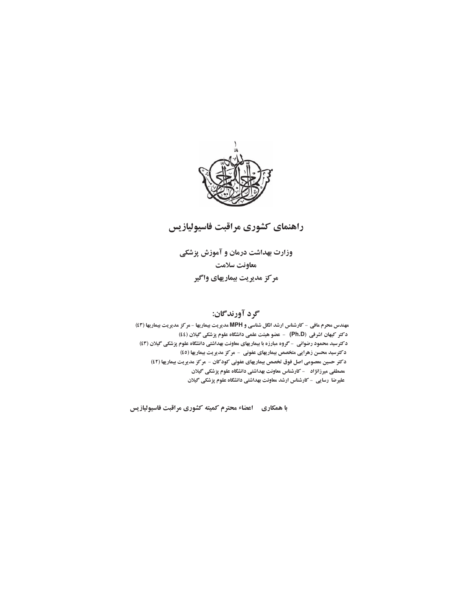



وزارت بهداشت درمان و آموزش پزشکی معاونت سلامت مركز مديريت بيماريهاي واگير

# گرد آورندگان:

مهندس محرم مافی - کارشناس ارشد انگل شناسی و MPH مدیریت بیماریها - مرکز مدیریت بیماریها (٤٣) دكتر كيهان اشرفي (Ph.D) - عضو هيئت علمي دانشگاه علوم پزشكي گيلان (٤٤) دکترسید محمود رضوانی - گروه مبارزه با بیماریهای معاونت بهداشتی دانشگاه علوم پزشکی گیلان (٤٣) دکترسید محسن زهرایی متخصص بیماریهای عفونی - مرکز مدیریت بیماریها (٤٥) دكتر حسين معصومي اصل فوق تخصص بيماريهاي عفوني كودكان - مركز مديريت بيماريها (٤٢) مصطفی میرزانژاد ٪ - کارشناس معاونت بهداشتی دانشگاه علوم پزشکی گیلان علیرضا رسایی - کارشناس ارشد معاونت بهداشتی دانشگاه علوم پزشکی گیلان

با همکاری ۔ اعضاء محترم کمیته کشوری مراقبت فاسیولیازیس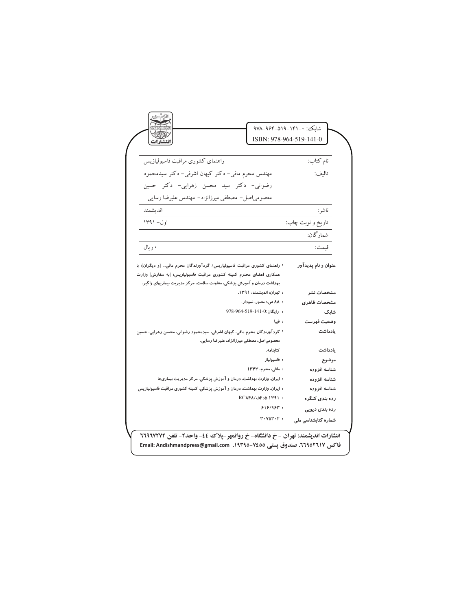|                                                                                                                                                                                                                            | شاىكى: ٠-١۴١–١٩٥–٩۶۴–٩٧٨<br>ISBN: 978-964-519-141-0 |
|----------------------------------------------------------------------------------------------------------------------------------------------------------------------------------------------------------------------------|-----------------------------------------------------|
| راهنماى كشورى مراقبت فاسيوليازيس                                                                                                                                                                                           | نام كتاب:                                           |
| مهندس محرم مافی- دکتر کیهان اشرفی- دکتر سیدمحمود                                                                                                                                                                           | تاليف:                                              |
| رضوانی- دکتر سید محسن زهرایی- دکتر حسین                                                                                                                                                                                    |                                                     |
| معصومیاصل- مصطفی میرزانژاد- مهندس علیرضا رسایی                                                                                                                                                                             |                                                     |
| انديشمند                                                                                                                                                                                                                   | ناشر:                                               |
| اول- ۱۳۹۱                                                                                                                                                                                                                  | تاريخ و نوبت چاپ:                                   |
|                                                                                                                                                                                                                            | شمارگان:                                            |
| ۰ ريال                                                                                                                                                                                                                     | قيمت:                                               |
| : راهنمای کشوری مراقبت فاسیولیاریس/ گردآورندگان محرم مافی… [و دیگران]؛ با<br>همکاری اعضای محترم کمیته کشوری مراقبت فاسیولیاریس؛ [به سفارش] وزارت<br>بهداشت درمان و آموزش پزشکی، معاونت سلامت، مرکز مدیریت بیماریهای واگیر. | عنوان و نام پدیدآور                                 |
|                                                                                                                                                                                                                            |                                                     |
| : تهران: اندیشمند، ۱۳۹۱.                                                                                                                                                                                                   | مشخصات نشر                                          |
| : ۸۸ ص.: مصور، نمودار.                                                                                                                                                                                                     | مشخصات ظاهرى                                        |
| : رايگان:0-141-15-964-978                                                                                                                                                                                                  | شابک                                                |
| : فييا                                                                                                                                                                                                                     | وضعيت فهرست                                         |
| <sup>:</sup> گردآورندگان محرم مافی، کیهان اشرفی، سیدمحمود رضوانی، محسن زهرایی، حسین<br>معصومی صل، مصطفی میرزانژاد، علیرضا رسایی.                                                                                           | يادداشت                                             |
| كتابنامه.                                                                                                                                                                                                                  | يادداشت                                             |
| : فاسيولياز                                                                                                                                                                                                                | موضوع                                               |
| : مافی، محرم، ۱۳۴۳                                                                                                                                                                                                         | شناسه افزوده                                        |
| : ایران. وزارت بهداشت، درمان و آموزش پزشکی. مرکز مدیریت بیماریها                                                                                                                                                           | شناسه افزوده                                        |
| : ایران. وزارت بهداشت، درمان و آموزش پزشکی. کمیته کشوری مراقبت فاسیولیازیس                                                                                                                                                 | شناسه افزوده                                        |
| : ١٣٩١ هد اف/RCA۴٨                                                                                                                                                                                                         | رده بندی کنگره                                      |
| $918/95$ :                                                                                                                                                                                                                 | رده بندی دیویی                                      |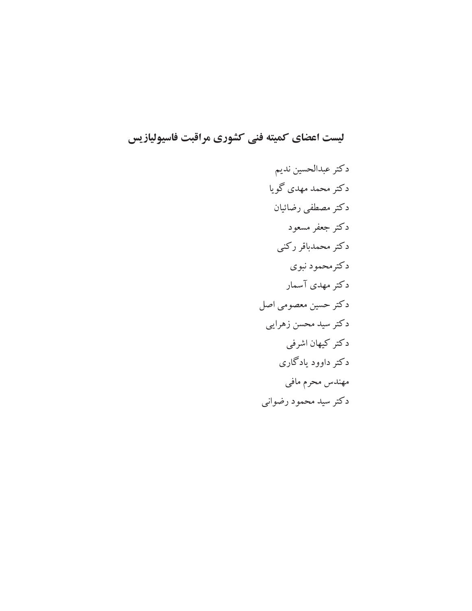ليست اعضاي كميته فني كشوري مراقبت فاسيوليازيس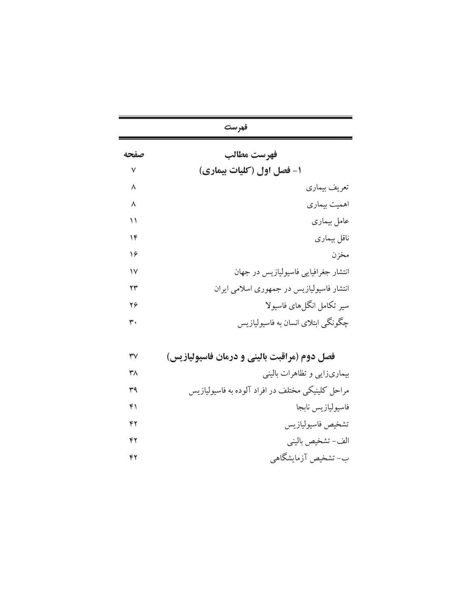|      | فهرست                                     |
|------|-------------------------------------------|
| صفحه | فهرست مطالب                               |
| ٧    | ۱- فصل اول (کلیات بیماری)                 |
| ٨    | تعريف بيماري                              |
| ٨    | اهميت بيماري                              |
| ۱۱   | عامل بيمارى                               |
| ۱۴   | ناقل بيماري                               |
| ۱۶   | مخزن                                      |
| ۱۷   | انتشار جغرافیایی فاسیولیازیس در جهان      |
| ۲۳   | انتشار فاسیولیازیس در جمهوری اسلامی ایران |
| 26   | سیر تکامل انگلهای فاسیولا                 |
| ٣٠   | چگونگی ابتلای انسان به فاسیولیازیس        |

| $\mathsf{r}\mathsf{v}$ | فصل دوم (مراقبت بالینی و درمان فاسیولیازیس) |  |  |  |  |  |
|------------------------|---------------------------------------------|--|--|--|--|--|
|------------------------|---------------------------------------------|--|--|--|--|--|

| بیماریزایی و تظاهرات بالینی                       | ٣٨ |
|---------------------------------------------------|----|
| مراحل کلینیکی مختلف در افراد آلوده به فاسیولیازیس | ۳۹ |
| فاسيوليازيس نابجا                                 | ۴۱ |
| تشخيص فاسيوليازيس                                 | ۴۲ |
| الف-تشخيص باليني                                  | ۴۲ |
| ب- تشخیص آزمایشگاهی                               | ۴۲ |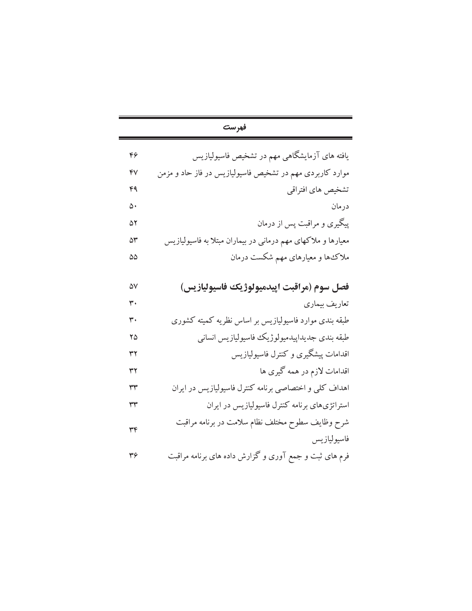|    | فهرست                                                        |
|----|--------------------------------------------------------------|
| ۴۶ | یافته های آزمایشگاهی مهم در تشخیص فاسیولیازیس                |
| ۴٧ | موارد کاربردی مهم در تشخیص فاسیولیازیس در فاز حاد و مزمن     |
| ۴۹ | تشخیص های افتراقی                                            |
| ۵۰ | درمان                                                        |
| ۵۲ | پیگیری و مراقبت پس از درمان                                  |
| ۵٣ | معیارها و ملاکهای مهم درمانی در بیماران مبتلا به فاسیولیازیس |
| ۵۵ | ملاک ها و معیارهای مهم شکست درمان                            |
|    |                                                              |
| ۵V | فصل سوم (مراقبت اپیدمیولوژیک فاسیولیازیس)                    |
| ٣٠ | تعاريف بيماري                                                |
| ٣. | طبقه بندی موارد فاسیولیازیس بر اساس نظریه کمیته کشوری        |
| ۲۵ | طبقه بندى جديداپيدميولوژيك فاسيوليازيس انساني                |
| ۳۲ | اقدامات پیشگیری و کنترل فاسیولیازیس                          |
| ٣٢ | اقدامات لازم در همه گیری ها                                  |
| ٣٣ | اهداف کلبی و اختصاصبی برنامه کنترل فاسیولیازیس در ایران      |
| ٣٣ | استراتژیهای برنامه کنترل فاسیولیازیس در ایران                |
| ٣۴ | شرح وظايف سطوح مختلف نظام سلامت در برنامه مراقبت             |
|    | فاسيوليازيس                                                  |
| ٣۶ | فرم های ثبت و جمع آوری و گزارش داده های برنامه مراقبت        |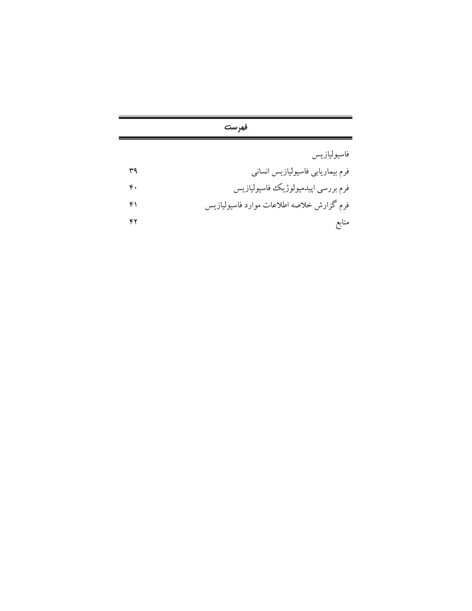| فهرست |                                           |  |
|-------|-------------------------------------------|--|
|       | فاسيوليازيس                               |  |
| ۳۹    | فرم بیماریابی فاسیولیازیس انسانی          |  |
| ۴۰    | فرم بررسي اپيدميولوژيک فاسيوليازيس        |  |
| ۴۱    | فرم گزارش خلاصه اطلاعات موارد فاسیولیازیس |  |
| ۴۲    | منابع                                     |  |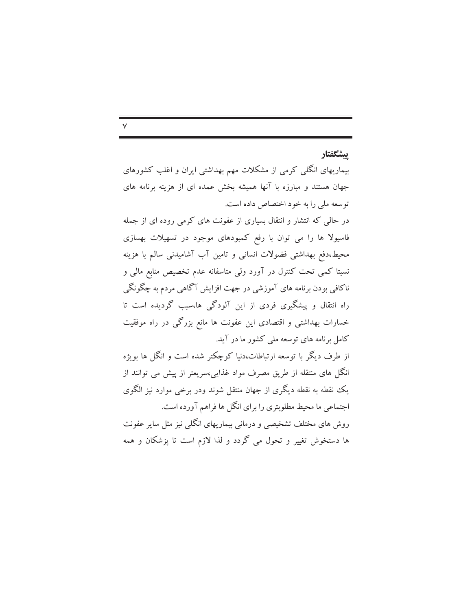## ىشگفتار

بیماریهای انگلبی کرمی از مشکلات مهم بهداشتی ایران و اغلب کشورهای جهان هستند و مبارزه با آنها همیشه بخش عمده ای از هزینه برنامه های توسعه ملي را به خود اختصاص داده است.

در حالی که انتشار و انتقال بسیاری از عفونت های کرمی روده ای از جمله فاسیولا ها را می توان با رفع کمبودهای موجود در تسهیلات بهسازی محیط،دفع بهداشتی فضولات انسانی و تامین آب آشامیدنی سالم با هزینه نسبتا کمی تحت کنترل در آورد ولی متاسفانه عدم تخصیص منابع مالی و ناکافي بودن برنامه هاي آموزشي در جهت افزايش آگاهي مردم به چگونگي راه انتقال و پیشگیری فردی از این آلودگی ها،سبب گردیده است تا خسارات بهداشتی و اقتصادی این عفونت ها مانع بزرگی در راه موفقیت کامل برنامه های توسعه ملی کشور ما در آید.

از طرف دیگر با توسعه ارتباطات،دنیا کوچکتر شده است و انگل ها بویژه انگل های منتقله از طریق مصرف مواد غذایی،سریعتر از پیش می توانند از یک نقطه به نقطه دیگری از جهان منتقل شوند ودر برخی موارد نیز الگوی اجتماعی ما محیط مطلوبتری را برای انگل ها فراهم آورده است. روش های مختلف تشخیصی و درمانی بیماریهای انگلی نیز مثل سایر عفونت ها دستخوش تغییر و تحول می گردد و لذا لازم است تا پزشکان و همه

#### $\checkmark$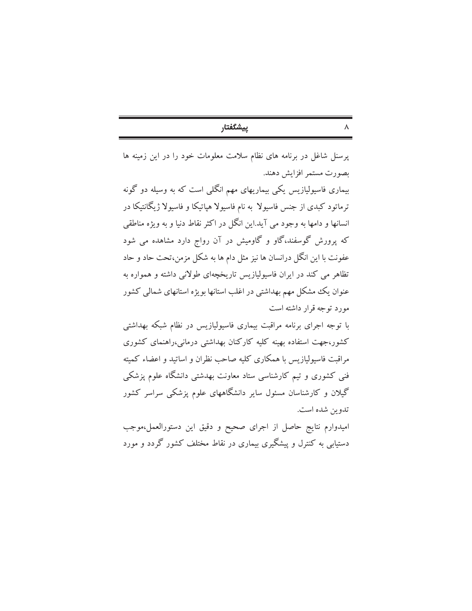| ۰ |  |
|---|--|
|   |  |
|   |  |

پرسنل شاغل در برنامه های نظام سلامت معلومات خود را در این زمینه ها بصورت مستمر افزايش دهند.

بیماری فاسیولیازیس یکی بیماریهای مهم انگلی است که به وسیله دو گونه ترماتود کبدی از جنس فاسیولا به نام فاسیولا هیاتیکا و فاسیولا ژیگانتیکا در انسانها و دامها به وجود می آید.این انگل در اکثر نقاط دنیا و به ویژه مناطقی که پرورش گوسفند،گاو و گاومیش در آن رواج دارد مشاهده می شود عفونت با این انگل درانسان ها نیز مثل دام ها به شکل مزمن،تحت حاد و حاد تظاهر می کند در ایران فاسیولیازیس تاریخچهای طولانی داشته و همواره به عنوان یک مشکل مهم بهداشتی در اغلب استانها بویژه استانهای شمالی کشور مورد توجه قرار داشته است

با توجه اجرای برنامه مراقبت بیماری فاسیولیازیس در نظام شبکه بهداشتی کشور،جهت استفاده بهینه کلیه کارکنان بهداشتی درمانی،راهنمای کشوری مراقبت فاسیولیازیس با همکاری کلیه صاحب نظران و اساتید و اعضاء کمیته فنی کشوری و تیم کارشناسی ستاد معاونت بهدشتی دانشگاه علوم پزشکی گیلان و کارشناسان مسئول سایر دانشگاههای علوم پزشکی سراسر کشور تدوين شده است.

امیدوارم نتایج حاصل از اجرای صحیح و دقیق این دستورالعمل،موجب دستیابی به کنترل و پیشگیری بیماری در نقاط مختلف کشور گردد و مورد

| ۰ |
|---|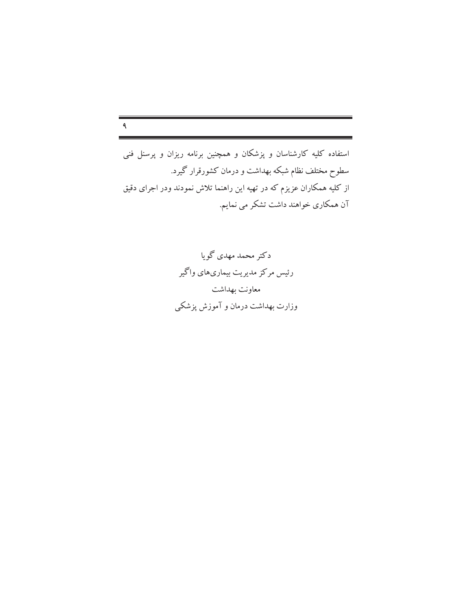# $\mathbf{q}$

استفاده کلیه کارشناسان و پزشکان و همچنین برنامه ریزان و پرسنل فنی سطوح مختلف نظام شبکه بهداشت و درمان کشورقرار گیرد. از کلیه همکاران عزیزم که در تهیه این راهنما تلاش نمودند ودر اجرای دقیق آن همکاری خواهند داشت تشکر می نمایم.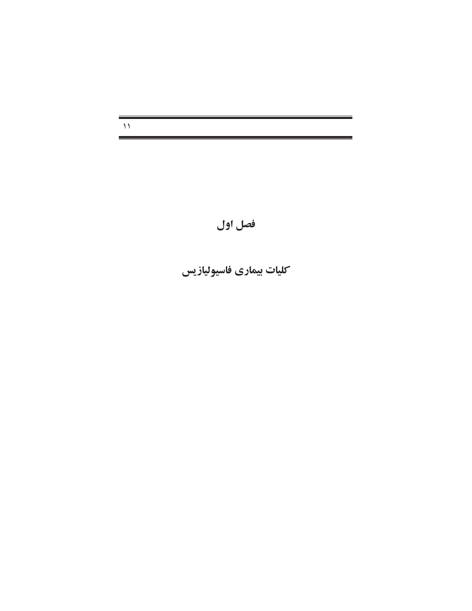$\mathcal{M}$ 

فصل اول

كليات بيماري فاسيوليازيس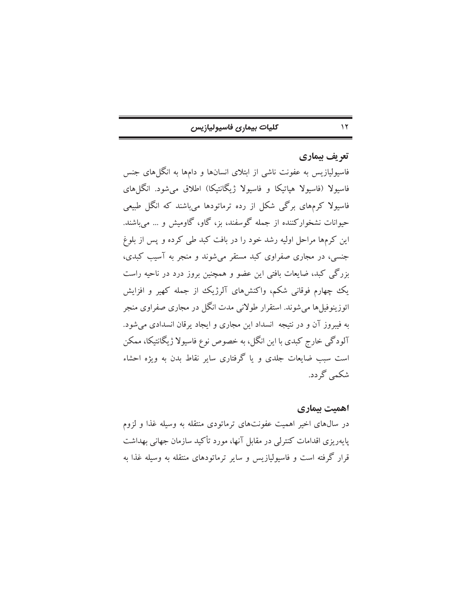| كليات بيمارى فاسيوليازيس |  |  |  |
|--------------------------|--|--|--|
|--------------------------|--|--|--|

# تعريف بيماري

 $\gamma$ 

فاسیولیازیس به عفونت ناشی از ابتلای انسانها و دامها به انگلهای جنس فاسیولا (فاسیولا هیاتیکا و فاسیولا ژیگانتیکا) اطلاق میشود. انگلهای فاسیولا کرمهای برگی شکل از رده ترماتودها میباشند که انگل طبیعی حیوانات نشخوارکننده از جمله گوسفند، بز، گاو، گاومیش و … می باشند. این کرمها مراحل اولیه رشد خود را در بافت کبد طی کرده و پس از بلوغ جنسی، در مجاری صفراوی کبد مستقر میشوند و منجر به آسیب کبدی، بزرگی کبد، ضایعات بافتی این عضو و همچنین بروز درد در ناحیه راست یک چهارم فوقانی شکم، واکنشهای آلرژیک از جمله کهیر و افزایش ائوزینوفیلها می شوند. استقرار طولانی مدت انگل در مجاری صفراوی منجر به فیبروز آن و در نتیجه انسداد این مجاری و ایجاد پرقان انسدادی میشود. آلودگی خارج کبدی با این انگل، به خصوص نوع فاسیولا ژیگانتیکا، ممکن است سبب ضایعات جلدی و یا گرفتاری سایر نقاط بدن به ویژه احشاء شکمي گردد.

# اهميت بيماري

در سال@ای اخیر اهمیت عفونتهای ترماتودی منتقله به وسیله غذا و لزوم پایهریزی اقدامات کنترلی در مقابل آنها، مورد تأکید سازمان جهانی بهداشت قرار گرفته است و فاسپولیازیس و سایر ترماتودهای منتقله به وسیله غذا به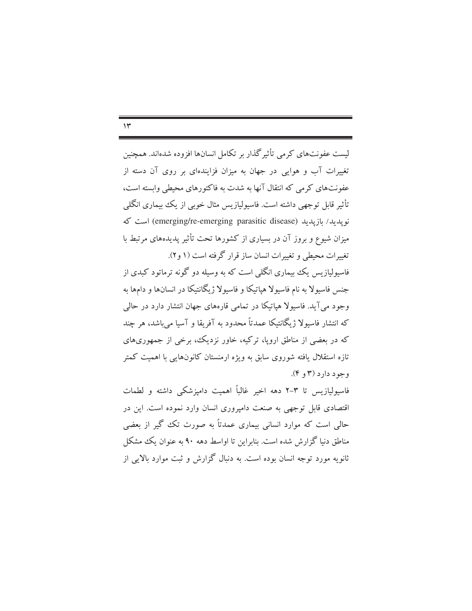$\gamma$ 

لیست عفونتهای کرمی تأثیرگذار بر تکامل انسانها افزوده شدهاند. همچنین تغییرات آب و هوایی در جهان به میزان فزایندهای بر روی آن دسته از عفونتهای کرمی که انتقال آنها به شدت به فاکتورهای محیطی وابسته است، تأثیر قابل توجهی داشته است. فاسپولیازیس مثال خوبی از یک بیماری انگلبی نويدىد/ ىازيدىد (emerging/re-emerging parasitic disease) است كه میزان شیوع و بروز آن در بسیاری از کشورها تحت تأثیر پدیدههای مرتبط با تغییرات محیطی و تغییرات انسان ساز قرار گرفته است (۱ و۲). فاسیولیازیس یک بیماری انگلی است که به وسیله دو گونه ترماتود کبدی از جنس فاسیولا به نام فاسیولا هیاتیکا و فاسیولا ژیگانتیکا در انسانها و دامها به وجود مي آيد. فاسبولا هياتيكا در تمامي قارههاي جهان انتشار دارد در حالي که انتشار فاسیولا ژیگانتیکا عمدتاً محدود به آفریقا و آسیا می باشد، هر چند که در بعضی از مناطق اروپا، ترکیه، خاور نزدیک، برخی از جمهوریهای تازه استقلال یافته شوروی سابق به ویژه ارمنستان کانونهایی با اهمیت کمتر  $(\mathfrak{e} \bullet \mathfrak{r})$ وجود دارد (۳

فاسیولیازیس تا ۳–۲ دهه اخیر غالباً اهمیت دامیزشکی داشته و لطمات اقتصادی قابل توجهی به صنعت دامیروری انسان وارد نموده است. این در حالی است که موارد انسانی بیماری عمدتاً به صورت تک گیر از بعضی مناطق دنیا گزارش شده است. بنابراین تا اواسط دهه ۹۰ به عنوان یک مشکل ثانویه مورد توجه انسان بوده است. به دنبال گزارش و ثبت موارد بالایی از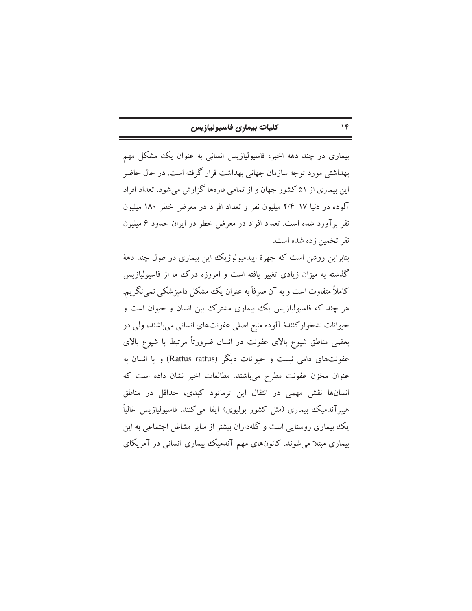| كليات بيمارى فاسيوليازيس |  |  |
|--------------------------|--|--|
|--------------------------|--|--|

 $\mathcal{N}$ 

بیماری در چند دهه اخیر، فاسیولیازیس انسانی به عنوان یک مشکل مهم بهداشتی مورد توجه سازمان جهانی بهداشت قرار گرفته است. در حال حاضر این بیماری از ۵۱ کشور جهان و از تمامی قارهها گزارش میشود. تعداد افراد آلوده در دنیا ۱۷-۲/۴ میلیون نفر و تعداد افراد در معرض خطر ۱۸۰ میلیون نفر برآورد شده است. تعداد افراد در معرض خطر در ایران حدود ۶ میلیون نفر تخمین زده شده است.

بنابراین روشن است که چهرهٔ اییدمیولوژیک این بیماری در طول چند دههٔ گذشته به میزان زیادی تغییر یافته است و امروزه درک ما از فاسیولیازیس کاملاً متفاوت است و به آن صرفاً به عنوان یک مشکل دامیزشکی نمی نگریم. هر چند که فاسیولیازیس یک بیماری مشترک بین انسان و حیوان است و حیوانات نشخوارکنندهٔ آلوده منبع اصلی عفونتهای انسانی میباشند، ولی در بعضی مناطق شیوع بالای عفونت در انسان ضرورتاً مرتبط با شیوع بالای عفونتهای دامی نیست و حیوانات دیگر (Rattus rattus) و یا انسان به عنوان مخزن عفونت مطرح میباشند. مطالعات اخیر نشان داده است که انسانها نقش مهمی در انتقال این ترماتود کبدی، حداقل در مناطق هیپرآندمیک بیماری (مثل کشور بولیوی) ایفا می کنند. فاسیولیازیس غالباً یک بیماری روستایی است و گلهداران بیشتر از سایر مشاغل اجتماعی به این بیماری مبتلا میشوند. کانونهای مهم آندمیک بیماری انسانی در آمریکای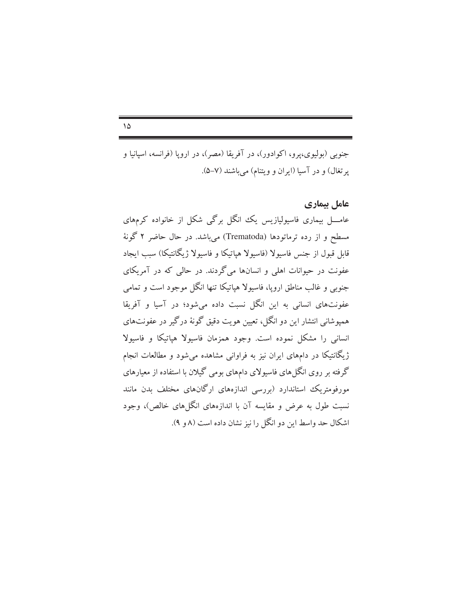جنوبي (بوليوي،يرو، اكوادور)، در آفريقا (مصر)، در اروپا (فرانسه، اسپانيا و یر تغال) و در آسیا (ایران و ویتنام) می باشند (۷–۵).

## عامل بیماری

عامــــل بیماری فاسیولیازیس یک انگل برگی شکل از خانواده کرمهای مسطح و از رده ترماتودها (Trematoda) میباشد. در حال حاضر ۲ گونهٔ قابل قبول از جنس فاسیولا (فاسیولا هیاتیکا و فاسیولا ژیگانتیکا) سبب ایجاد عفونت در حیوانات اهلی و انسانها میگردند. در حالی که در آمریکای جنوبی و غالب مناطق اروپا، فاسیولا هپاتیکا تنها انگل موجود است و تمامی عفونتهای انسانی به این انگل نسبت داده میشود؛ در آسیا و آفریقا همپوشانی انتشار این دو انگل، تعیین هویت دقیق گونهٔ درگیر در عفونتهای انسانی را مشکل نموده است. وجود همزمان فاسیولا هپاتیکا و فاسیولا ژیگانتیکا در دامهای ایران نیز به فراوانی مشاهده می شود و مطالعات انجام گرفته بر روی انگل های فاسیولای دامهای بومی گیلان با استفاده از معیارهای مورفومتریک استاندارد (بررسی اندازههای ارگانهای مختلف بدن مانند نسبت طول به عرض و مقایسه آن با اندازههای انگلهای خالص)، وجود اشکال حد واسط این دو انگل را نیز نشان داده است (۸ و ۹).

#### $\Delta$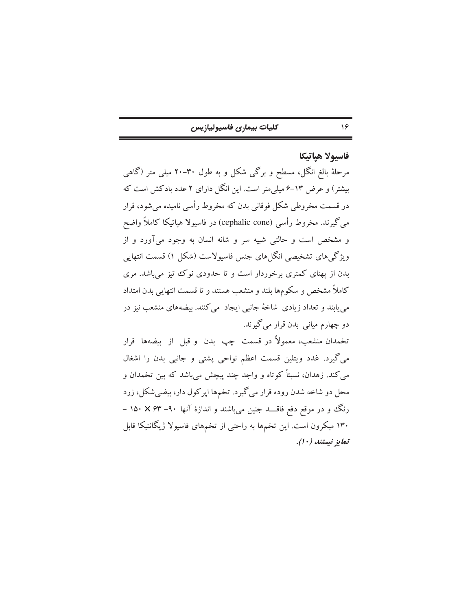| كليات بيمارى فاسيوليازيس |  |  |
|--------------------------|--|--|
|--------------------------|--|--|

فاسيولا هياتيكا

 $\frac{6}{5}$ 

مرحلهٔ بالغ انگل، مسطح و برگی شکل و به طول ۳۰–۲۰ میلی متر (گاهی بیشتر) و عرض ۱۳-۶ میلی متر است. این انگل دارای ۲ عدد بادکش است که در قسمت مخروطی شکل فوقانی بدن که مخروط رأسی نامیده میشود، قرار می گیرند. مخروط رأسی (cephalic cone) در فاسیولا هپاتیکا کاملاً واضح و مشخص است و حالتی شبیه سر و شانه انسان به وجود میآورد و از ویژگیهای تشخیصی انگلهای جنس فاسیولاست (شکل ۱) قسمت انتهایی بدن از یهنای کمتری برخوردار است و تا حدودی نوک تیز می باشد. مری كاملاً مشخص و سكومها بلند و منشعب هستند و تا قسمت انتهایی بدن امتداد می پابند و تعداد زیادی شاخهٔ جانبی ایجاد می کنند. بیضههای منشعب نیز در دو چهارم میان<sub>ی</sub> بدن قرار میگیرند.

تخمدان منشعب، معمولاً در قسمت چپ بدن و قبل از بیضهها قرار می گیرد. غدد ویتلین قسمت اعظم نواحی پشتی و جانبی بدن را اشغال می کند. زهدان، نسبتاً کوتاه و واجد چند پیچش می باشد که بین تخمدان و محل دو شاخه شدن روده قرار میگیرد. تخمها اپرکول دار، بیضیشکل، زرد رنگ و در موقع دفع فاقـــــــــد جنین میباشند و اندازهٔ آنها ۹۰– ۶۳× ۱۵۰ – ۱۳۰ میکرون است. این تخمها به راحتی از تخمهای فاسیولا ژیگانتیکا قابل تمايز نيستند (١٠).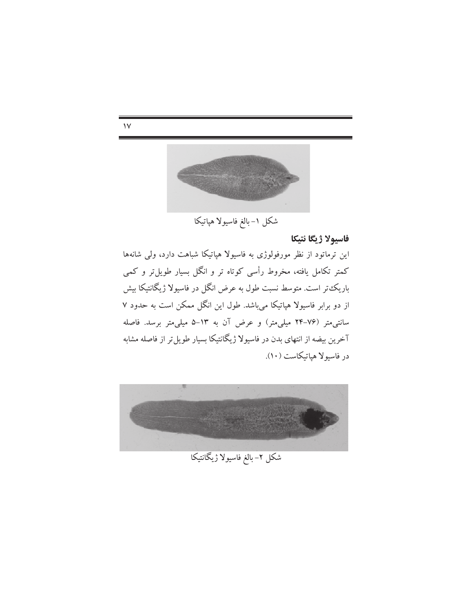

 $\mathcal{N}$ 

شکل ۱-بالغ فاسیولا هپاتیکا

فاسيولا ژيگا نتيكا

این ترماتود از نظر مورفولوژی به فاسیولا هپاتیکا شباهت دارد، ولی شانهها کمتر تکامل یافته، مخروط رأسی کوتاه تر و انگل بسیار طویل تر و کمی باریک تر است. متوسط نسبت طول به عرض انگل در فاسیولا ژیگانتیکا بیش از دو برابر فاسیولا هپاتیکا میباشد. طول این انگل ممکن است به حدود ۷ سانتی متر (۷۶–۲۴ میلی متر) و عرض آن به ۱۳–۵ میلی متر برسد. فاصله آخرین بیضه از انتهای بدن در فاسیولا ژیگانتیکا بسیار طویل تر از فاصله مشابه در فاسيولا هياتيكاست (١٠).



شکل ۲– بالغ فاسیولا ژیگانتیکا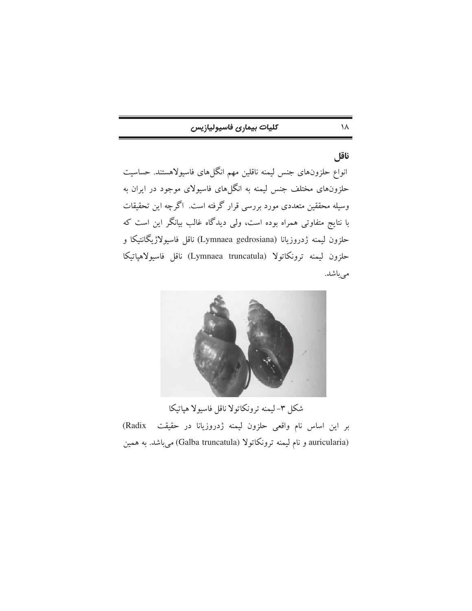| كليات بيمارى فاسيوليازيس |  |
|--------------------------|--|
|--------------------------|--|

١٨

ناقل انواع حلزونهای جنس لیمنه ناقلین مهم انگلهای فاسیولاهستند. حساسیت حلزونهای مختلف جنس لیمنه به انگلهای فاسیولای موجود در ایران به وسیله محققین متعددی مورد بررسی قرار گرفته است. اگرچه این تحقیقات با نتایج متفاوتی همراه بوده است، ولی دیدگاه غالب بیانگر این است که حلزون ليمنه ژدروزيانا (Lymnaea gedrosiana) ناقل فاسيولاژيگانتيكا و حلزون ليمنه ترونكاتولا (Lymnaea truncatula) ناقل فاسيولاهياتيكا مىباشد.



شكل ٣-ليمنه ترونكاتولا ناقل فاسيولا هياتيكا بر این اساس نام واقعی حلزون لیمنه ژدروزیانا در حقیقت (Radix auricularia) و نام ليمنه ترونكاتولا (Galba truncatula) مي باشد. به همين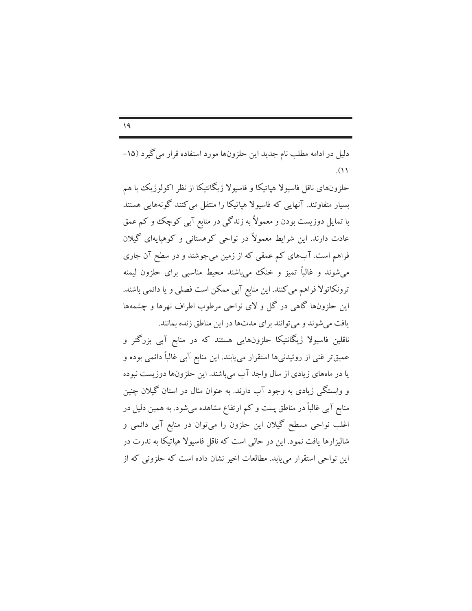$\sqrt{9}$ 

دلیل در ادامه مطلب نام جدید این حلزونها مورد استفاده قرار می گیرد (۱۵–  $(1)$ 

حلزونهای ناقل فاسیولا هیاتیکا و فاسیولا ژیگانتیکا از نظر اکولوژیک با هم بسیار متفاوتند. آنهایی که فاسیولا هیاتیکا را منتقل می کنند گونههایی هستند با تمایل دوزیست بودن و معمولاً به زندگی در منابع آبی کوچک و کم عمق عادت دارند. این شرایط معمولاً در نواحی کوهستانی و کوهپایهای گیلان فراهم است. آبهای کم عمقی که از زمین میجوشند و در سطح آن جاری می شوند و غالباً تمیز و خنک می باشند محیط مناسبی برای حلزون لیمنه ترونکاتولا فراهم می کنند. این منابع آبی ممکن است فصلی و یا دائمی باشند. این حلزونها گاهی در گل و لای نواحی مرطوب اطراف نهرها و چشمهها یافت می شوند و می توانند برای مدتها در این مناطق زنده بمانند.

ناقلین فاسیولا ژیگانتیکا حلزونهایی هستند که در منابع آبی بزرگتر و عمیقتر غنی از روئیدنیها استقرار می،یابند. این منابع آبی غالباً دائمی بوده و یا در ماههای زیادی از سال واجد آب میباشند. این حلزونها دوزیست نبوده و وابستگی زیادی به وجود آب دارند. به عنوان مثال در استان گیلان چنین منابع آبی غالباً در مناطق پست و کم ارتفاع مشاهده می شود. به همین دلیل در اغلب نواحی مسطح گیلان این حلزون را میتوان در منابع آبی دائمی و شالیزارها یافت نمود. این در حالمی است که ناقل فاسیولا هیاتیکا به ندرت در این نواحی استقرار می یابد. مطالعات اخیر نشان داده است که حلزونی که از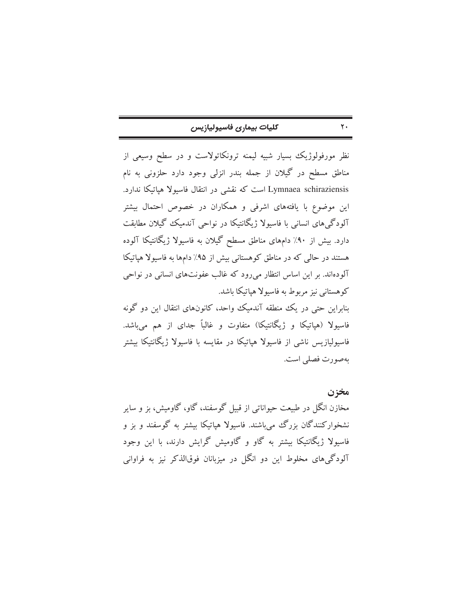| كليات بيمارى فاسيوليازيس |  |  |
|--------------------------|--|--|
|--------------------------|--|--|

نظر مورفولوژیک بسیار شبیه لیمنه ترونکاتولاست و در سطح وسیعی از مناطق مسطح در گیلان از جمله بندر انزلی وجود دارد حلزونی به نام Lymnaea schiraziensis است که نقشی در انتقال فاسیولا هپاتیکا ندارد. این موضوع با یافتههای اشرفی و همکاران در خصوص احتمال بیشتر آلودگیهای انسانی با فاسیولا ژیگانتیکا در نواحی آندمیک گیلان مطابقت دارد. بیش از ۹۰٪ دامهای مناطق مسطح گیلان به فاسیولا ژیگانتیکا آلوده هستند در حالی که در مناطق کوهستانی بیش از ۹۵٪ دامها به فاسیولا هپاتیکا آلودهاند. بر این اساس انتظار می رود که غالب عفونتهای انسانی در نواحی کوهستانی نیز مربوط به فاسیولا هیاتیکا باشد. بنابراین حتی در یک منطقه آندمیک واحد، کانونهای انتقال این دو گونه فاسیولا (هپاتیکا و ژیگانتیکا) متفاوت و غالباً جدای از هم میباشد. فاسیولیازیس ناشی از فاسیولا هیاتیکا در مقایسه با فاسیولا ژیگانتیکا بیشتر بهصورت فصلي است.

مخزن مخازن انگل در طبیعت حیواناتی از قبیل گوسفند، گاو، گاومیش، بز و سایر نشخوارکنندگان بزرگ می باشند. فاسیولا هیاتیکا بیشتر به گوسفند و بز و فاسیولا ژیگانتیکا بیشتر به گاو و گاومیش گرایش دارند، با این وجود آلودگی های مخلوط این دو انگل در میزبانان فوقالذکر نیز به فراوانی

 $\mathbf{y}$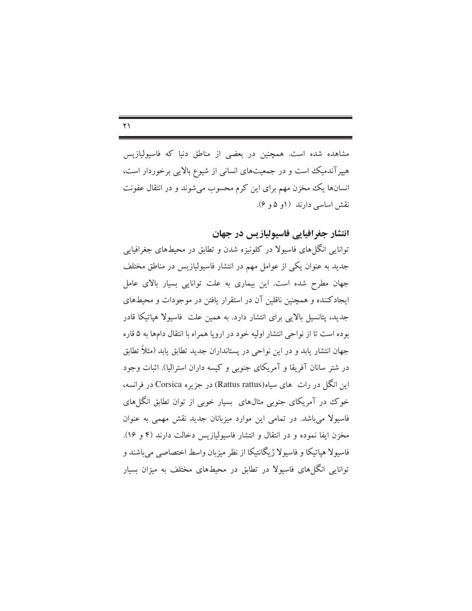$\Upsilon$ 

مشاهده شده است. همچنین در بعضی از مناطق دنیا که فاسپولپازیس هیپرآندمیک است و در جمعیتهای انسانی از شیوع بالایی برخوردار است، انسانها یک مخزن مهم برای این کرم محسوب می شوند و در انتقال عفونت نقش اساسی دارند (۱و ۵ و ۶).

انتشار جغرافیایی فاسیولیازیس در جهان

توانایی انگلهای فاسیولا در کلونیزه شدن و تطابق در محیطهای جغرافیایی جدید به عنوان یکی از عوامل مهم در انتشار فاسیولیازیس در مناطق مختلف جهان مطرح شده است. این بیماری به علت توانایی بسیار بالای عامل ایجادکننده و همچنین ناقلین آن در استقرار یافتن در موجودات و محیطهای جدید، پتانسیل بالایی برای انتشار دارد. به همین علت فاسیولا هپاتیکا قادر بوده است تا از نواحی انتشار اولیه خود در اروپا همراه با انتقال دامها به ۵ قاره جهان انتشار يابد و در اين نواحي در يستانداران جديد تطابق يابد (مثلاً تطابق در شتر سانان آفریقا و آمریکای جنوبی و کیسه داران استرالیا). اثبات وجود این انگل در رات های سیاه(Rattus rattus) در جزیره Corsica در فرانسه، خوک در آمریکای جنوبی مثالهای بسیار خوبی از توان تطابق انگلهای فاسیولا میباشد. در تمامی این موارد میزبانان جدید نقش مهمی به عنوان مخزن ايفا نموده و در انتقال و انتشار فاسيوليازيس دخالت دارند (۴ و ۱۶). فاسیولا هپاتیکا و فاسیولا ژیگانتیکا از نظر میزبان واسط اختصاصبی میباشند و توانایی انگا های فاسیولا در تطابق در محیطهای مختلف به میزان بسیار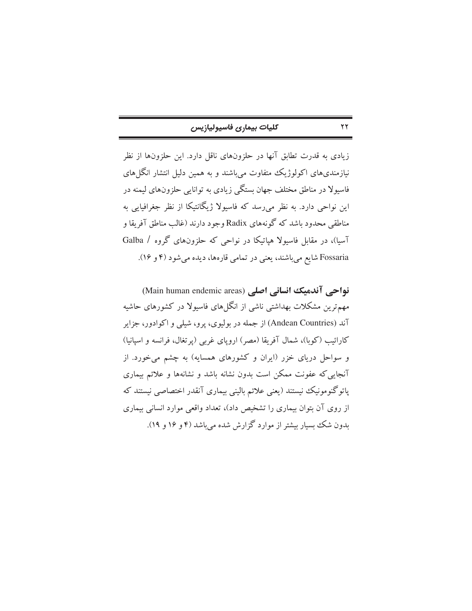| كليات بيمارى فاسيوليازيس |  |  |
|--------------------------|--|--|
|--------------------------|--|--|

 $\Upsilon$ 

زیادی به قدرت تطابق آنها در حلزونهای ناقل دارد. این حلزونها از نظر نیازمندیهای اکولوژیک متفاوت میباشند و به همین دلیل انتشار انگلهای فاسیولا در مناطق مختلف جهان بستگی زیادی به توانایی حلزونهای لیمنه در این نواحی دارد. به نظر می٫رسد که فاسیولا ژیگانتیکا از نظر جغرافیایی به مناطقی محدود باشد که گونههای Radix وجود دارند (غالب مناطق آفریقا و آسیا)، در مقابل فاسیولا هیاتیکا در نواحی که حلزونهای گروه / Galba Fossaria شایع میباشند، یعنی در تمامی قارهها، دیده میشود (۴ و ۱۶).

نواحی آندمیک انسانی اصلی (Main human endemic areas) مهم ترین مشکلات بهداشتی ناشی از انگلهای فاسیولا در کشورهای حاشیه آند (Andean Countries) از جمله در بولیوی، پرو، شیلی و اکوادور، جزایر کارائیب (کوبا)، شمال آفریقا (مصر) اروپای غربی (پرتغال، فرانسه و اسپانیا) و سواحل دریای خزر (ایران و کشورهای همسایه) به چشم میخورد. از آنجایی که عفونت ممکن است بدون نشانه باشد و نشانهها و علائم بیماری پاتوگنومونیک نیستند (یعنی علائم بالینی بیماری آنقدر اختصاصی نیستند که از روی آن بتوان بیماری را تشخیص داد)، تعداد واقعی موارد انسانی بیماری بدون شک بسیار بیشتر از موارد گزارش شده می باشد (۴ و ۱۶ و ۱۹).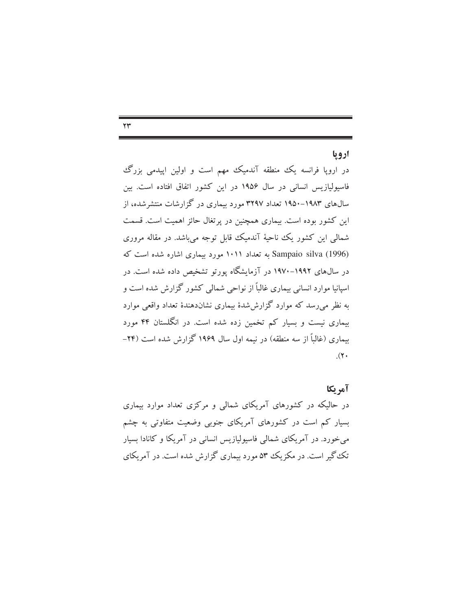#### $\mathbf{y}$

### ارويا

در اروپا فرانسه یک منطقه آندمیک مهم است و اولین اپیدمی بزرگ فاسیولپازیس انسانی در سال ۱۹۵۶ در این کشور اتفاق افتاده است. بین سالهای ۱۹۸۳–۱۹۵۰ تعداد ۳۲۹۷ مورد بیماری در گزارشات منتشرشده، از این کشور بوده است. بیماری همچنین در پرتغال حائز اهمیت است. قسمت شمالي اين كشور يك ناحيهٔ آندميك قابل توجه مي باشد. در مقاله مروري Sampaio silva (1996) به تعداد ۱۰۱۱ مورد بیماری اشاره شده است که در سال@ای ۱۹۹۲–۱۹۷۰ در آزمایشگاه پورتو تشخیص داده شده است. در اسپانیا موارد انسانی بیماری غالباً از نواحی شمالی کشور گزارش شده است و به نظر می رسد که موارد گزارششدهٔ بیماری نشاندهندهٔ تعداد واقعی موارد بیماری نیست و بسیار کم تخمین زده شده است. در انگلستان ۴۴ مورد بیماری (غالباً از سه منطقه) در نیمه اول سال ۱۹۶۹ گزارش شده است (۲۴–  $\cdot$  (۲۰

# آمريكا

در حالیکه در کشورهای آمریکای شمالی و مرکزی تعداد موارد بیماری بسیار کم است در کشورهای آمریکای جنوبی وضعیت متفاوتی به چشم می خورد. در آمریکای شمالی فاسیولیازیس انسانی در آمریکا و کانادا بسیار تک گیر است. در مکزیک ۵۳ مورد بیماری گزارش شده است. در آمریکای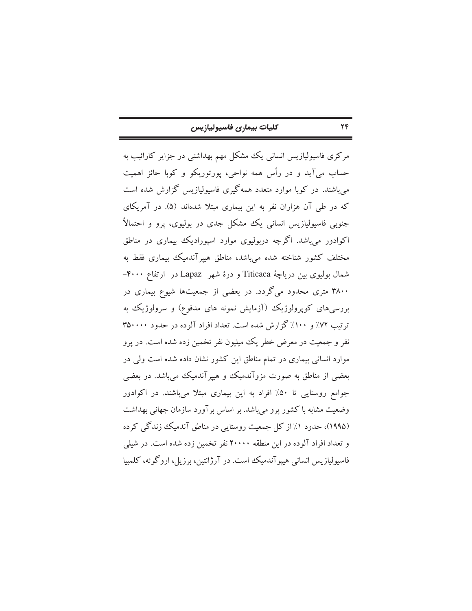| كليات بيمارى فاسيوليازيس |  |  |
|--------------------------|--|--|
|--------------------------|--|--|

مرکزی فاسیولیازیس انسانی یک مشکل مهم بهداشتی در جزایر کارائیب به حساب مي آيد و در رأس همه نواحي، پورتوريكو و كوبا حائز اهميت می باشند. در کوبا موارد متعدد همهگیری فاسیولیازیس گزارش شده است که در طی آن هزاران نفر به این بیماری مبتلا شدهاند (۵). در آمریکای جنوبی فاسیولیازیس انسانی یک مشکل جدی در بولیوی، پرو و احتمالاً اکوادور میباشد. اگرچه دربولیوی موارد اسپورادیک بیماری در مناطق مختلف کشور شناخته شده میباشد، مناطق هیپرآندمیک بیماری فقط به شمال بولیوی بین دریاچهٔ Titicaca و درهٔ شهر Lapaz در ارتفاع ۴۰۰۰-۳۸۰۰ متری محدود میگردد. در بعضی از جمعیتها شیوع بیماری در بررسیهای کوپرولوژیک (آزمایش نمونه های مدفوع) و سرولوژیک به ترتیب ۷۲٪ و ۱۰۰٪ گزارش شده است. تعداد افراد آلوده در حدود ۳۵۰۰۰۰ نفر و جمعیت در معرض خطر یک میلیون نفر تخمین زده شده است. در یرو موارد انسانی بیماری در تمام مناطق این کشور نشان داده شده است ولی در بعضی از مناطق به صورت مزوآندمیک و هیپرآندمیک میباشد. در بعضی جوامع روستایی تا ۵۰٪ افراد به این بیماری مبتلا میباشند. در اکوادور وضعیت مشابه با کشور پرو می باشد. بر اساس بر آورد سازمان جهانی بهداشت (۱۹۹۵)، حدود ۱٪ از کل جمعیت روستایی در مناطق آندمیک زندگی کرده و تعداد افراد آلوده در این منطقه ۲۰۰۰۰ نفر تخمین زده شده است. در شیلی فاسیولیازیس انسانی هیپوآندمیک است. در آرژانتین، برزیل، اروگوئه، کلمبیا

 $Y\mathfrak{F}$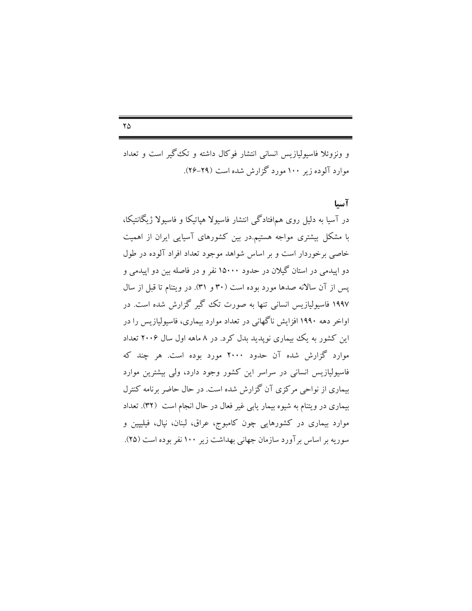$\mathsf{Y}\Delta$ 

و ونزوئلا فاسیولیازیس انسانی انتشار فوکال داشته و تک گیر است و تعداد موارد آلوده زیر ۱۰۰ مورد گزارش شده است (۲۹-۲۶).

## آسيا

در آسیا به دلیل روی همافتادگی انتشار فاسیولا هپاتیکا و فاسیولا ژیگانتیکا، با مشکل بیشتری مواجه هستیم.در بین کشورهای آسیایی ایران از اهمیت خاصی برخوردار است و بر اساس شواهد موجود تعداد افراد آلوده در طول دو اییدمی در استان گیلان در حدود ۱۵۰۰۰ نفر و در فاصله بین دو اپیدمی و پس از آن سالانه صدها مورد بوده است (۳۰ و ۳۱). در ویتنام تا قبل از سال ۱۹۹۷ فاسیولیازیس انسانی تنها به صورت تک گیر گزارش شده است. در اواخر دهه ۱۹۹۰ افزایش ناگهانی در تعداد موارد بیماری، فاسیولیازیس را در این کشور به یک بیماری نویدید بدل کرد. در ۸ ماهه اول سال ۲۰۰۶ تعداد موارد گزارش شده آن حدود ۲۰۰۰ مورد بوده است. هر چند که فاسیولیازیس انسانی در سراسر این کشور وجود دارد، ولی بیشترین موارد بیماری از نواحی مرکزی آن گزارش شده است. در حال حاضر برنامه کنترل بیماری در ویتنام به شیوه بیمار یابی غیر فعال در حال انجام است (۳۲). تعداد موارد بیماری در کشورهایی چون کامبوج، عراق، لبنان، نپال، فیلیپین و سوریه بر اساس بر آورد سازمان جهانی بهداشت زیر ۱۰۰ نفر بوده است (۲۵).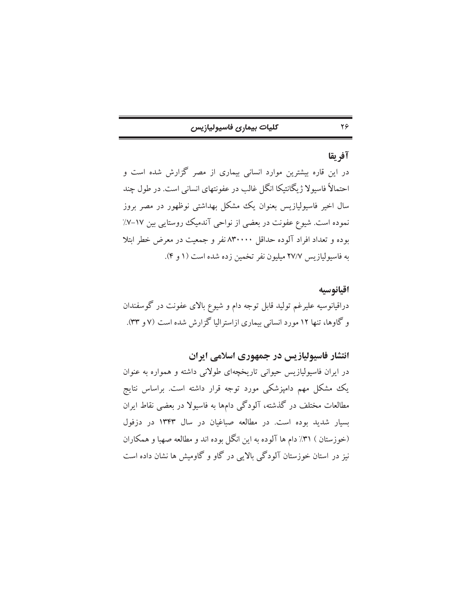| كليات بيمارى فاسيوليازيس |  |  |  |
|--------------------------|--|--|--|
|--------------------------|--|--|--|

# آفريقا

 $Y\mathcal{G}$ 

در این قاره بیشترین موارد انسانی بیماری از مصر گزارش شده است و احتمالاً فاسیولا ژیگانتیکا انگل غالب در عفونتهای انسانی است. در طول چند سال اخیر فاسیولیازیس بعنوان یک مشکل بهداشتی نوظهور در مصر بروز نموده است. شیوع عفونت در بعضی از نواحی آندمیک روستایی بین ۱۷–۷٪ بوده و تعداد افراد آلوده حداقل ۸۳۰۰۰۰ نفر و جمعیت در معرض خطر ابتلا به فاسیولیازیس ۲۷/۷ میلیون نفر تخمین زده شده است (۱ و ۴).

اقيانوسيه دراقیانوسیه علیرغم تولید قابل توجه دام و شیوع بالای عفونت در گوسفندان و گاوها، تنها ۱۲ مورد انسانی بیماری ازاسترالیا گزارش شده است (۷ و ۳۳).

# انتشار فاسیولیازیس در جمهوری اسلامی ایران

در ایران فاسیولیازیس حیوانی تاریخچهای طولانی داشته و همواره به عنوان یک مشکل مهم دامپزشکی مورد توجه قرار داشته است. براساس نتایج مطالعات مختلف در گذشته، آلودگی دامها به فاسیولا در بعضی نقاط ایران بسیار شدید بوده است. در مطالعه صباغیان در سال ۱۳۴۳ در دزفول (خوزستان ) ۳۱٪ دام ها آلوده به این انگل بوده اند و مطالعه صهبا و همکاران نیز در استان خوزستان آلودگی بالایی در گاو و گاومیش ها نشان داده است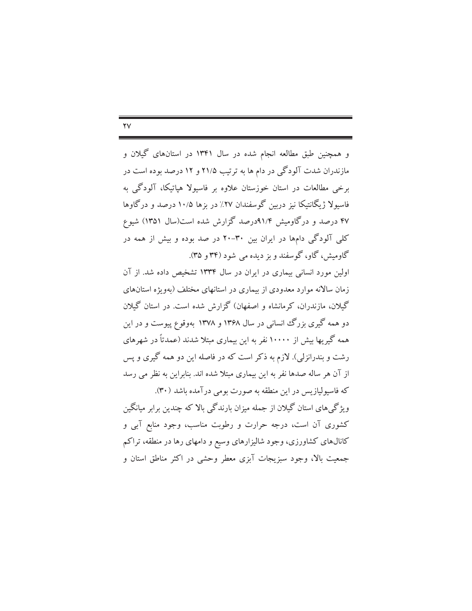و همچنین طبق مطالعه انجام شده در سال ۱۳۴۱ در استانهای گیلان و مازندران شدت آلودگی در دام ها به ترتیب ۲۱/۵ و ۱۲ درصد بوده است در برخی مطالعات در استان خوزستان علاوه بر فاسیولا هیاتیکا، آلودگی به فاسیولا ژیگانتیکا نیز دربین گوسفندان ۲۷٪ در بزها ۱۰/۵ درصد و درگاوها ۴۷ درصد و درگاومیش ۹۱/۴درصد گزارش شده است(سال ۱۳۵۱) شیوع

کلی آلودگی دامها در ایران بین ۳۰-۲۰ در صد بوده و بیش از همه در گاومیش، گاو، گوسفند و بز دیده می شود (۳۴ و ۳۵). اولین مورد انسانی بیماری در ایران در سال ۱۳۳۴ تشخیص داده شد. از آن

زمان سالانه موارد معدودی از بیماری در استانهای مختلف (بهویژه استانهای گیلان، مازندران، کرمانشاه و اصفهان) گزارش شده است. در استان گیلان دو همه گیری بزرگ انسانی در سال ۱۳۶۸ و ۱۳۷۸ بهوقوع پیوست و در این همه گیریها بیش از ۱۰۰۰۰ نفر به این بیماری مبتلا شدند (عمدتاً در شهرهای رشت و بندرانزلی). لازم به ذکر است که در فاصله این دو همه گیری و پس از آن هر ساله صدها نفر به این بیماری مبتلا شده اند. بنابراین به نظر می رسد که فاسیولیازیس در این منطقه به صورت بومی درآمده باشد (۳۰).

ویژگی های استان گیلان از جمله میزان بارندگی بالا که چندین برابر میانگین کشوری آن است، درجه حرارت و رطوبت مناسب، وجود منابع آبی و کانالهای کشاورزی، وجود شالیزارهای وسیع و دامهای رها در منطقه، تراکم جمعیت بالا، وجود سبزیجات آبزی معطر وحشی در اکثر مناطق استان و

#### $\mathsf{Y}\mathsf{V}$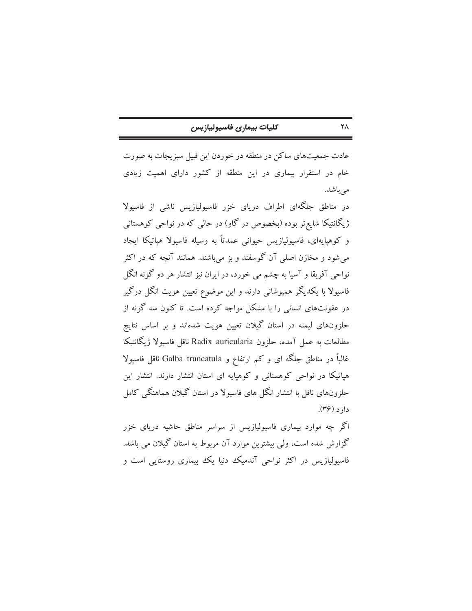|  |  |  |  |  | كليات بيمارى فاسيوليازيس |
|--|--|--|--|--|--------------------------|
|--|--|--|--|--|--------------------------|

عادت جمعیتهای ساکن در منطقه در خوردن این قبیل سبزیجات به صورت خام در استقرار بیماری در این منطقه از کشور دارای اهمیت زیادی مے باشد.

در مناطق جلگهای اطراف دریای خزر فاسیولیازیس ناشی از فاسیولا ژیگانتیکا شایع تر بوده (بخصوص در گاو) در حالی که در نواحی کوهستانی و کوهپایهای، فاسیولیازیس حیوانی عمدتاً به وسیله فاسیولا هپاتیکا ایجاد می شود و مخازن اصلی آن گوسفند و بز می باشند. همانند آنچه که در اکثر نواحی آفریقا و آسیا به چشم می خورد، در ایران نیز انتشار هر دو گونه انگل فاسیولا با یکدیگر همپوشانی دارند و این موضوع تعیین هویت انگل درگیر در عفونتهای انسانی را با مشکل مواجه کرده است. تا کنون سه گونه از حلزونهای لیمنه در استان گیلان تعیین هویت شدهاند و بر اساس نتایج مطالعات به عمل آمده، حلزون Radix auricularia ناقل فاسبولا ژيگانتيكا غالباً در مناطق جلگه ای و کم ارتفاع و Galba truncatula ناقل فاسیولا هیاتیکا در نواحی کوهستانی و کوهیایه ای استان انتشار دارند. انتشار این حلزونهای ناقل با انتشار انگل های فاسیولا در استان گیلان هماهنگی کامل  $c_1(c_2(s))$ 

اگر چه موارد بیماری فاسیولیازیس از سراسر مناطق حاشیه دریای خزر گزارش شده است، ولمی بیشترین موارد آن مربوط به استان گیلان می باشد. فاسیولیازیس در اکثر نواحی آندمیک دنیا یک بیماری روستایی است و

 $\mathsf{Y}\wedge$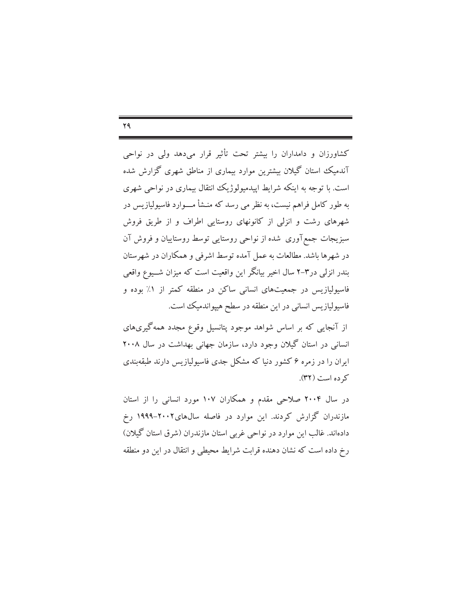$YQ$ 

کشاورزان و دامداران را بیشتر تحت تأثیر قرار میدهد ولی در نواحی آندمیک استان گیلان بیشترین موارد بیماری از مناطق شهری گزارش شده است. با توجه به اینکه شرایط اییدمیولوژیک انتقال بیماری در نواحی شهری به طور کامل فراهم نیست، به نظر می رسد که منـشأ مــــوارد فاسیولیازیس در شهرهای رشت و انزلی از کانونهای روستایی اطراف و از طریق فروش سبزیجات جمع آوری شده از نواحی روستایی توسط روستاییان و فروش آن در شهرها باشد. مطالعات به عمل آمده توسط اشرفی و همکاران در شهرستان بندر انزلی در۳–۲ سال اخیر بیانگر این واقعیت است که میزان شــیوع واقعی فاسیولیازیس در جمعیتهای انسانی ساکن در منطقه کمتر از ۱٪ بوده و فاسیولیازیس انسانی در این منطقه در سطح هیپواندمیک است.

از آنجایی که بر اساس شواهد موجود پتانسیل وقوع مجدد همه گیریهای انسانی در استان گیلان وجود دارد، سازمان جهانی بهداشت در سال ۲۰۰۸ ایران را در زمره ۶ کشور دنیا که مشکل جدی فاسیولیازیس دارند طبقهبندی کر ده است (٣٢).

در سال ۲۰۰۴ صلاحی مقدم و همکاران ۱۰۷ مورد انسانی را از استان مازندران گزارش کردند. این موارد در فاصله سال۵های۲۰۰۲–۱۹۹۹ رخ دادهاند. غالب این موارد در نواحی غربی استان مازندران (شرق استان گیلان) رخ داده است که نشان دهنده قرابت شرایط محیطی و انتقال در این دو منطقه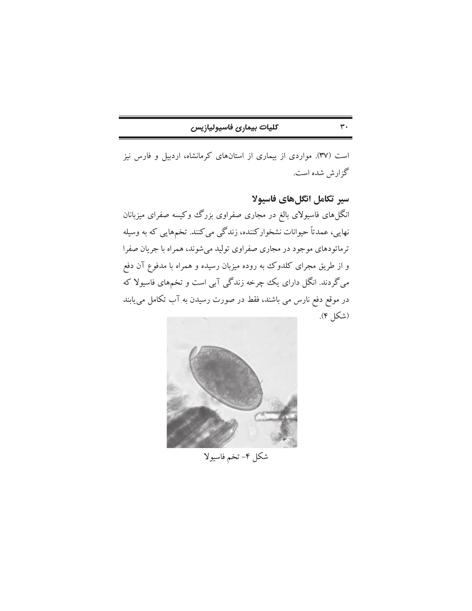| كليات بيمارى فاسيوليازيس |
|--------------------------|
|--------------------------|

است (٣٧). مواردي از بيماري از استانهاي كرمانشاه، اردبيل و فارس نيز گزارش شده است.

سیر تکامل انگلهای فاسیولا

 $\mathbf{r}$ .

انگلهای فاسیولای بالغ در مجاری صفراوی بزرگ وکیسه صفرای میزبانان نهایی، عمدتاً حیوانات نشخوارکننده، زندگی میکنند. تخمهایی که به وسیله ترماتودهای موجود در مجاری صفراوی تولید میشوند، همراه با جریان صفرا و از طریق مجرای کلدوک به روده میزبان رسیده و همراه با مدفوع آن دفع میگردند. انگل دارای یک چرخه زندگی آبی است و تخمهای فاسیولا که در موقع دفع نارس می باشند، فقط در صورت رسیدن به آب تکامل می یابند (شكل ۴).



شكل ۴–تخم فاسيولا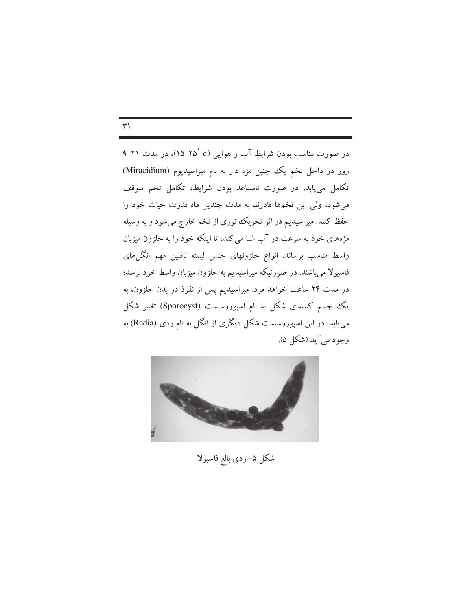در صورت مناسب بودن شرایط آب و هوایی (۲۵°۲۵-۱۵)، در مدت ۲۱-۹ روز در داخل تخم یک جنین مژه دار به نام میراسیدیوم (Miracidium) تکامل می یابد. در صورت نامساعد بودن شرایط، تکامل تخم متوقف می شود، ولی این تخمها قادرند به مدت چندین ماه قدرت حیات خود را حفظ کنند. میراسیدیم در اثر تحریک نوری از تخم خارج میشود و به وسیله مژههای خود به سرعت در آب شنا می کند، تا اینکه خود را به حلزون میزبان واسط مناسب برساند. انواع حلزونهای جنس لیمنه ناقلین مهم انگلهای فاسیولا میباشند. در صورتیکه میراسیدیم به حلزون میزبان واسط خود نرسد؛ در مدت ۲۴ ساعت خواهد مرد. میراسیدیم پس از نفوذ در بدن حلزون، به یک جسم کیسهای شکل به نام اسپوروسیست (Sporocyst) تغییر شکل می یابد. در این اسپوروسیست شکل دیگری از انگل به نام ردی (Redia) به وجود مي آيد (شكل ۵).



شکل ۵– ردی بالغ فاسیولا

#### $\mathsf{r}'$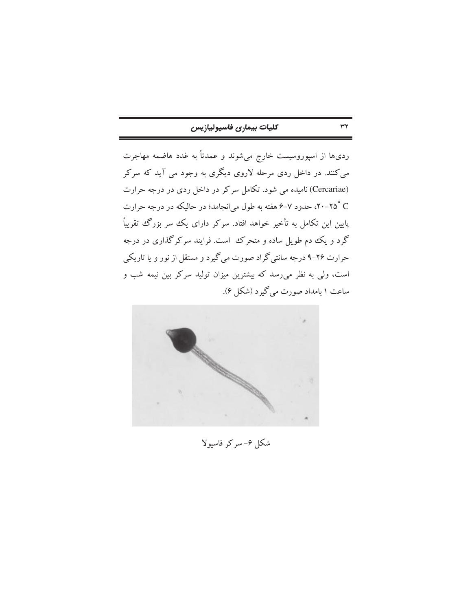$\tau\tau$ 

ردیها از اسپوروسیست خارج میشوند و عمدتاً به غدد هاضمه مهاجرت می کنند. در داخل ردی مرحله لاروی دیگری به وجود می آید که سرکر (Cercariae) نامیده می شود. تکامل سرکر در داخل ردی در درجه حرارت ° ۲۵–۲۰، حدود ۷–۶ هفته به طول می|نجامد؛ در حالیکه در درجه حرارت پایین این تکامل به تأخیر خواهد افتاد. سرکر دارای یک سر بزرگ تقریباً گرد و یک دم طویل ساده و متحرک است. فرایند سرکرگذاری در درجه حرارت ۲۶-۹ درجه سانتي گراد صورت مي گيرد و مستقل از نور و يا تاريكي است، ولی به نظر می٫رسد که بیشترین میزان تولید سرکر بین نیمه شب و ساعت ۱ بامداد صورت میگیرد (شکل ۶).



شکل ۶- سرکر فاسیولا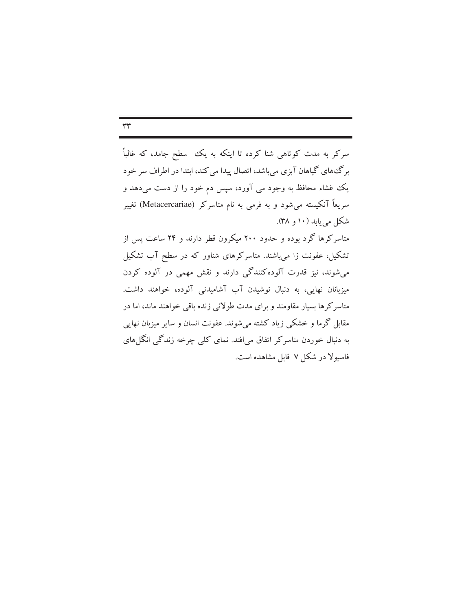$rr$ 

سرکر به مدت کوتاهی شنا کرده تا اینکه به یک سطح جامد، که غالباً برگ های گیاهان آبزی میباشد، اتصال پیدا می کند، ابتدا در اطراف سر خود یک غشاء محافظ به وجود می آورد، سپس دم خود را از دست میدهد و سریعاً آنکیسته میشود و به فرمی به نام متاسرکر (Metacercariae) تغییر شکل می باید (۱۰ و ۳۸).

متاسرکرها گرد بوده و حدود ۲۰۰ میکرون قطر دارند و ۲۴ ساعت پس از تشکیل، عفونت زا میباشند. متاسرکرهای شناور که در سطح آب تشکیل می شوند، نیز قدرت آلوده کنندگی دارند و نقش مهمی در آلوده کردن میزبانان نهایی، به دنبال نوشیدن آب آشامیدنی آلوده، خواهند داشت. متاسرکرها بسیار مقاومند و برای مدت طولانی زنده باقی خواهند ماند، اما در مقابل گرما و خشکی زیاد کشته می شوند. عفونت انسان و سایر میزبان نهایی به دنبال خوردن متاسرکر اتفاق می افتد. نمای کلمی چرخه زندگی انگل های فاسیولا در شکل ۷ قابل مشاهده است.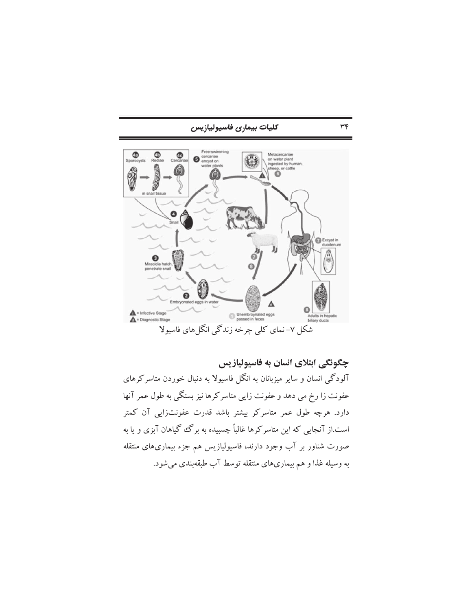

چگونگی ابتلای انسان به فاسیولیازیس آلودگی انسان و سایر میزبانان به انگل فاسیولا به دنبال خوردن متاسرکرهای عفونت زا رخ می دهد و عفونت زایی متاسرکرها نیز بستگی به طول عمر آنها دارد. هرچه طول عمر متاسرکر بیشتر باشد قدرت عفونتزایی آن کمتر است.از آنجایی که این متاسرکرها غالباً چسبیده به برگ گیاهان آبزی و یا به صورت شناور بر آب وجود دارند، فاسیولیازیس هم جزء بیماریهای منتقله به وسیله غذا و هم بیماریهای منتقله توسط آب طبقهبندی میشود.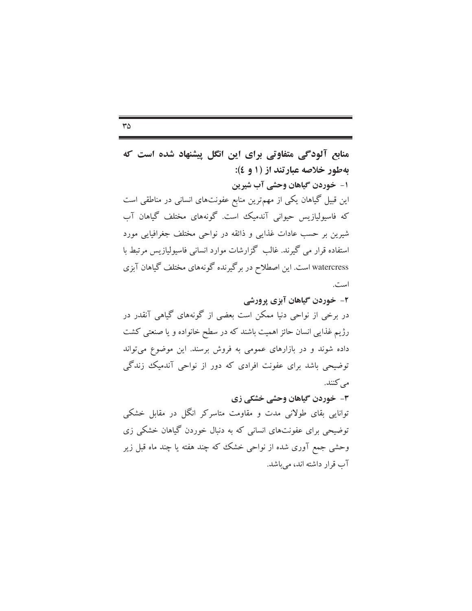منابع آلودگی متفاوتی برای این انگل پیشنهاد شده است که

به طور خلاصه عبارتند از (۱ و ٤): ۱- خوردن گیاهان وحشی آب شیرین این قبیل گیاهان یکی از مهمترین منابع عفونتهای انسانی در مناطقی است که فاسیولیازیس حیوانی آندمیک است. گونههای مختلف گیاهان آب شیرین بر حسب عادات غذایی و ذائقه در نواحی مختلف جغرافیایی مورد استفاده قرار می گیرند. غالب گزارشات موارد انسانی فاسپولیازیس مرتبط با watercress است. این اصطلاح در برگیرنده گونههای مختلف گیاهان آبزی است.

۲- خوردن گیاهان آبزی پرورشی در برخی از نواحی دنیا ممکن است بعضی از گونههای گیاهی آنقدر در رژیم غذایی انسان حائز اهمیت باشند که در سطح خانواده و یا صنعتی کشت داده شوند و در بازارهای عمومی به فروش برسند. این موضوع میتواند توضیحی باشد برای عفونت افرادی که دور از نواحی آندمیک زندگی مے کنند.

٣- خوردن گیاهان وحشی خشکی زی توانایی بقای طولانی مدت و مقاومت متاسرکر انگل در مقابل خشکی توضیحی برای عفونتهای انسانی که به دنبال خوردن گیاهان خشکی زی وحشی جمع آوری شده از نواحی خشک که چند هفته یا چند ماه قبل زیر آب قرار داشته اند، می باشد.

#### $r\Delta$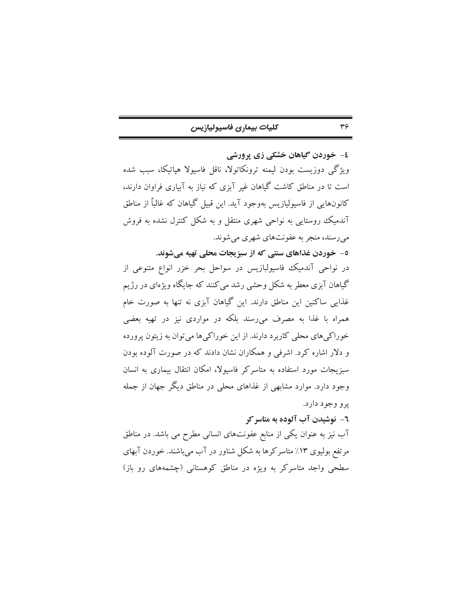| كليات بيمارى فاسيوليازيس |  |  |
|--------------------------|--|--|
|--------------------------|--|--|

٤- خوردن گیاهان خشکی زی پرورشی ویژگی دوزیست بودن لیمنه ترونکاتولا، ناقل فاسیولا هیاتیکا، سب شده است تا در مناطق کاشت گیاهان غیر آبزی که نیاز به آبیاری فراوان دارند، کانونهایی از فاسیولیازیس بهوجود آید. این قبیل گیاهان که غالباً از مناطق آندمیک روستایی به نواحی شهری منتقل و به شکل کنترل نشده به فروش مي رسند، منجر به عفونتهاي شهري مي شوند.

٥- خوردن غذاهای سنتی که از سبزیجات محلی تهیه میشوند. در نواحی آندمیک فاسیولبازیس در سواحل بحر خزر انواع متنوعی از گیاهان آبزی معطر به شکل وحشی رشد می کنند که جایگاه ویژهای در رژیم غذایی ساکنین این مناطق دارند. این گیاهان آبزی نه تنها به صورت خام همراه با غذا به مصرف میرسند بلکه در مواردی نیز در تهیه بعضی خو راکي هاي محلي کاربر د دارند. از اين خو راکي ها مي توان به زيتون پرورده و دلار اشاره کرد. اشرفی و همکاران نشان دادند که در صورت آلوده بودن سبزیجات مورد استفاده به متاسرکر فاسیولا، امکان انتقال بیماری به انسان وجود دارد. موارد مشابهی از غذاهای محلی در مناطق دیگر جهان از جمله يږو وجود دارد.

٦- نوشیدن آب آلوده به متاسر کر آب نیز به عنوان یکی از منابع عفونتهای انسانی مطرح می باشد. در مناطق مرتفع بولیوی ۱۳٪ متاسرکرها به شکل شناور در آب میباشند. خوردن آبهای سطحی واجد متاسرکر به ویژه در مناطق کوهستانی (چشمههای رو باز)

#### $r_{\mathcal{F}}$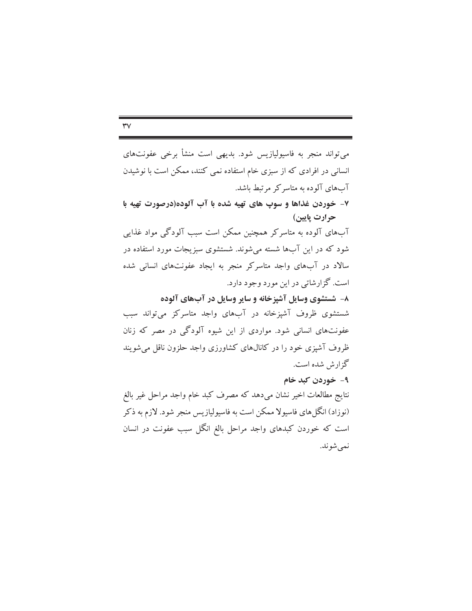$\mathsf{r}\mathsf{v}$ 

می تواند منجر به فاسپولیازیس شود. بدیهی است منشأ برخی عفونتهای انسانی در افرادی که از سبزی خام استفاده نمی کنند، ممکن است با نوشیدن آبهای آلوده به متاسر کر مرتبط باشد. ۷- خوردن غذاها و سوپ های تهیه شده با آب آلوده(درصورت تهیه با حرارت پایین) آبهای آلوده به متاسرکر همچنین ممکن است سبب آلودگی مواد غذایی شود که در این آبها شسته میشوند. شستشوی سبزیجات مورد استفاده در سالاد در آبهای واجد متاسرکر منجر به ایجاد عفونتهای انسانی شده است. گزارشاتی در این مورد وجود دارد. ۸- شستشوی وسایل آشیزخانه و سایر وسایل در آبهای آلوده شستشوی ظروف آشپزخانه در آبهای واجد متاسرکز می تواند سبب عفونتهای انسانی شود. مواردی از این شیوه آلودگی در مصر که زنان ظروف آشیزی خود را در کانالهای کشاورزی واجد حلزون ناقل می شویند گزارش شده است. ۹- خوردن کبد خام

نتايج مطالعات اخير نشان مىدهد كه مصرف كبد خام واجد مراحل غير بالغ (نوزاد) انگلهای فاسیولا ممکن است به فاسیولیازیس منجر شود. لازم به ذکر است که خوردن کبدهای واجد مراحل بالغ انگل سبب عفونت در انسان نمې شوند.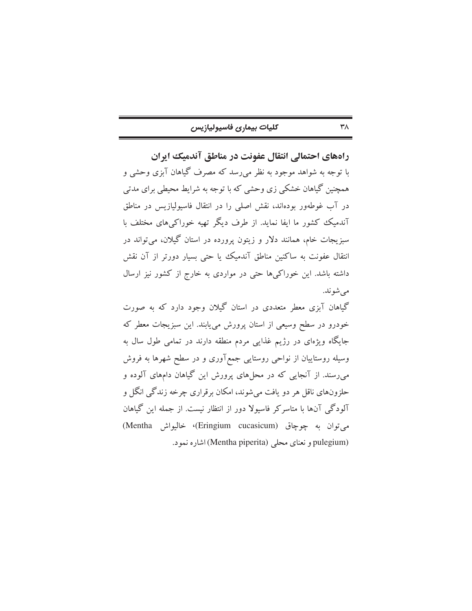| كليات بيمارى فاسيوليازيس |  |  |
|--------------------------|--|--|
|--------------------------|--|--|

راههای احتمالی انتقال عفونت در مناطق آندمیک ایران با توجه به شواهد موجود به نظر می٫رسد که مصرف گیاهان آبزی وحشی و همچنین گیاهان خشکی زی وحشی که با توجه به شرایط محیطی برای مدتی در آب غوطهور بودهاند، نقش اصلی را در انتقال فاسپولیازیس در مناطق آندمیک کشور ما ایفا نماید. از طرف دیگر تهیه خوراک های مختلف با سبزیجات خام، همانند دلار و زیتون پرورده در استان گیلان، می تواند در انتقال عفونت به ساكنين مناطق آندميك يا حتى بسيار دورتر از آن نقش داشته باشد. این خوراکیها حتی در مواردی به خارج از کشور نیز ارسال مي شوند. گیاهان آیزی معطر متعددی در استان گیلان وجود دارد که به صورت خودرو در سطح وسیعی از استان پرورش می،یابند. این سبزیجات معطر که جایگاه ویژهای در رژیم غذایی مردم منطقه دارند در تمامی طول سال به

وسیله روستاییان از نواحی روستایی جمع آوری و در سطح شهرها به فروش می رسند. از آنجایی که در محلهای پرورش این گیاهان دامهای آلوده و حلزونهاي ناقل هر دو يافت مي شوند، امكان برقراري چرخه زندگي انگل و آلودگی آنها با متاسرکر فاسیولا دور از انتظار نیست. از جمله این گیاهان مي توان به چوچاق (Eringium cucasicum)، خاليواش Mentha) pulegium) و نعناي محلي (Mentha piperita) اشاره نمود.

#### $\mathsf{r}_\Lambda$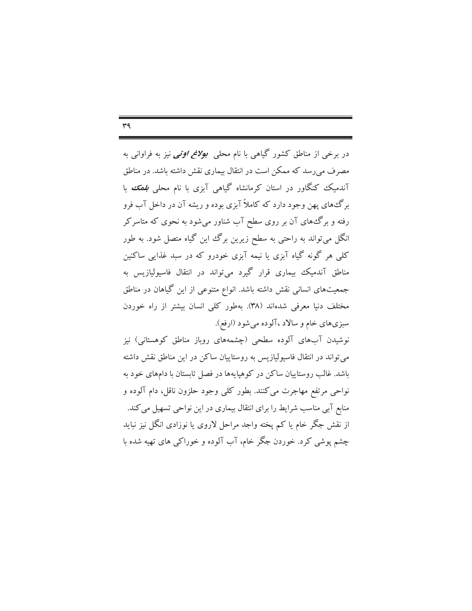$r<sub>q</sub>$ 

در برخی از مناطق کشور گیاهی با نام محلی *بولانم اوتی ن*یز به فراوانی به مصرف می رسد که ممکن است در انتقال بیماری نقش داشته باشد. در مناطق آندمیک کنگاور در استان کرمانشاه گیاهی آبزی با نام محلی *بلهک با* برگ های پهن وجود دارد که کاملاً آبزی بوده و ریشه آن در داخل آب فرو رفته و برگ های آن بر روی سطح آب شناور میشود به نحوی که متاسرکر انگل میتواند به راحتی به سطح زیرین برگ این گیاه متصل شود. به طور کلبی هر گونه گیاه آبزی یا نیمه آبزی خودرو که در سبد غذایی ساکنین مناطق آندمیک بیماری قرار گیرد میتواند در انتقال فاسیولیازیس به جمعیتهای انسانی نقش داشته باشد. انواع متنوعی از این گیاهان در مناطق مختلف دنیا معرفی شدهاند (۳۸). بهطور کلی انسان بیشتر از راه خوردن سبزي هاي خام و سالاد ،آلوده مي شود (ارفع).

نوشیدن آبهای آلوده سطحی (چشمههای روباز مناطق کوهستانی) نیز می تواند در انتقال فاسپولیازیس به روستاییان ساکن در این مناطق نقش داشته باشد. غالب روستاییان ساکن در کوهپایهها در فصل تابستان با دامهای خود به نواحي مرتفع مهاجرت مي كنند. بطور كلي وجود حلزون ناقل، دام آلوده و منابع آبی مناسب شرایط را برای انتقال بیماری در این نواحی تسهیل می کند. از نقش جگر خام یا کم پخته واجد مراحل لاروی یا نوزادی انگل نیز نباید چشم پوشی کرد. خوردن جگر خام، آب آلوده و خوراکی های تهیه شده با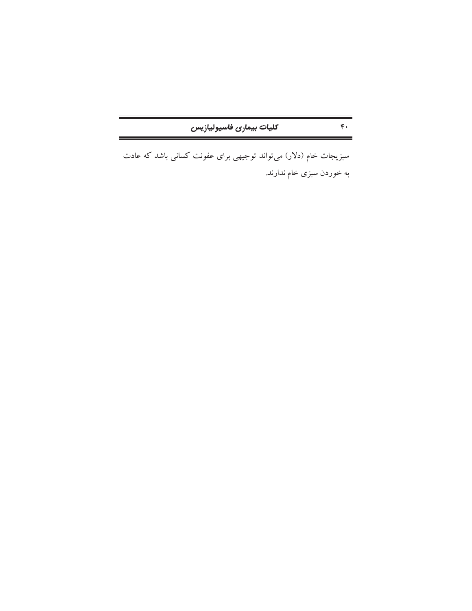| كليات بيمارى فاسيوليازيس |  |
|--------------------------|--|
|--------------------------|--|

 $\mathfrak{e}_*$ 

سبزیجات خام (دلار) میتواند توجیهی برای عفونت کسانی باشد که عادت به خوردن سبزی خام ندارند.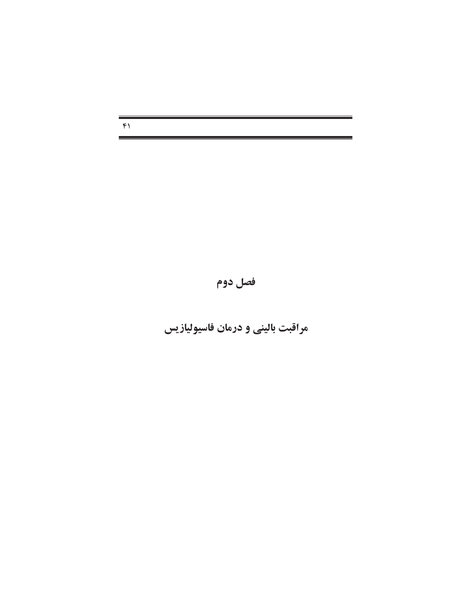$F$ 

# فصل دوم

# مراقبت بالینی و درمان فاسیولیازیس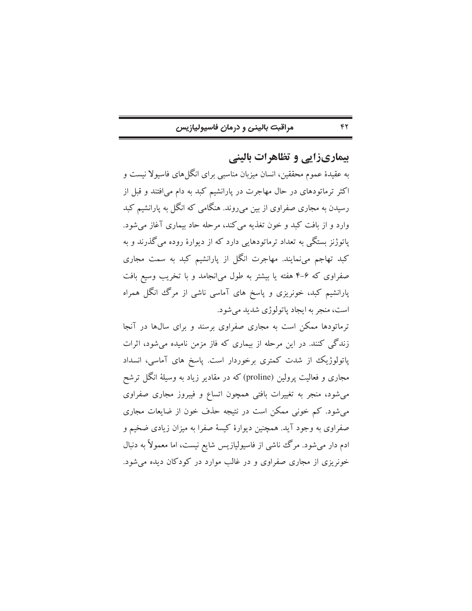### مراقبت بالینی و درمان فاسیولیازیس

بیماریزایی و تظاهرات بالینی

 $\gamma$ 

به عقیدهٔ عموم محققین، انسان میزبان مناسبی برای انگل(های فاسیولا نیست و اکثر ترماتودهای در حال مهاجرت در پارانشیم کبد به دام می افتند و قبل از رسیدن به مجاری صفراوی از بین می روند. هنگامی که انگل به یارانشیم کبد وارد و از بافت کبد و خون تغذیه می کند، مرحله حاد بیماری آغاز می شود. یاتوژنز بستگی به تعداد ترماتودهایی دارد که از دیوارهٔ روده می گذرند و به کبد تهاجم می;مایند. مهاجرت انگل از پارانشیم کبد به سمت مجاری صفراوی که ۶–۴ هفته یا بیشتر به طول می|نجامد و با تخریب وسیع بافت پارانشیم کبد، خونریزی و پاسخ های آماسی ناشی از مرگ انگل همراه است، منجر به ايجاد ياتولوژي شديد مي شود.

ترماتودها ممکن است به مجاری صفراوی برسند و برای سالها در آنجا زندگی کنند. در این مرحله از بیماری که فاز مزمن نامیده می شود، اثرات پاتولوژیک از شدت کمتری برخوردار است. پاسخ های آماسی، انسداد مجاری و فعالیت پرولین (proline) که در مقادیر زیاد به وسیلهٔ انگل ترشح می شود، منجر به تغییرات بافتی همچون اتساع و فیبروز مجاری صفراوی می شود. کم خونی ممکن است در نتیجه حذف خون از ضایعات مجاری صفراوی به وجود آید. همچنین دیوارهٔ کیسهٔ صفرا به میزان زیادی ضخیم و ادم دار می شود. مرگ ناشی از فاسیولیازیس شایع نیست، اما معمولاً به دنبال خونریزی از مجاری صفراوی و در غالب موارد در کودکان دیده می شود.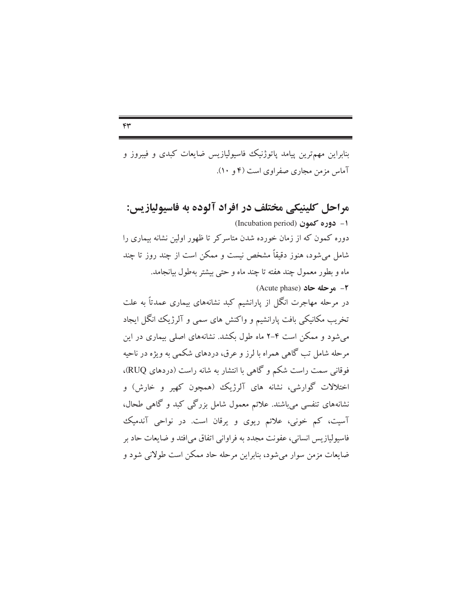بنابراین مهمترین پیامد پاتوژنیک فاسیولیازیس ضایعات کبدی و فیبروز و آماس مزمن مجاری صفراوی است (۴ و ۱۰).

مراحل کلینیکی مختلف در افراد آلوده به فاسیولیازیس: 1- دوره کمون (Incubation period) دوره کمون که از زمان خورده شدن متاسرکر تا ظهور اولین نشانه بیماری را شامل می شود، هنوز دقیقاً مشخص نیست و ممکن است از چند روز تا چند ماه و بطور معمول چند هفته تا چند ماه و حتى بیشتر بهطول بیانجامد.  $(Acute phase)$  موحله حاد $-1$ در مرحله مهاجرت انگل از پارانشیم کبد نشانههای بیماری عمدتاً به علت تخریب مکانیکی بافت پارانشیم و واکنش های سمی و آلرژیک انگل ایجاد می شود و ممکن است ۴–۲ ماه طول بکشد. نشانههای اصلی بیماری در این مرحله شامل تب گاهی همراه با لرز و عرق، دردهای شکمی به ویژه در ناحیه فوقانی سمت راست شکم و گاهی با انتشار به شانه راست (دردهای RUQ)، اختلالات گوارشی، نشانه های آلرژیک (همچون کهیر و خارش) و نشانههای تنفسی می باشند. علائم معمول شامل بزرگی کبد و گاهی طحال،

آسیت، کم خونی، علائم ریوی و یرقان است. در نواحی آندمیک

فاسيوليازيس انساني، عفونت مجدد به فراواني اتفاق مي افتد و ضايعات حاد بر

ضایعات مزمن سوار می شود، بنابراین مرحله حاد ممکن است طولانی شود و

 $\mathsf{r}\mathsf{r}$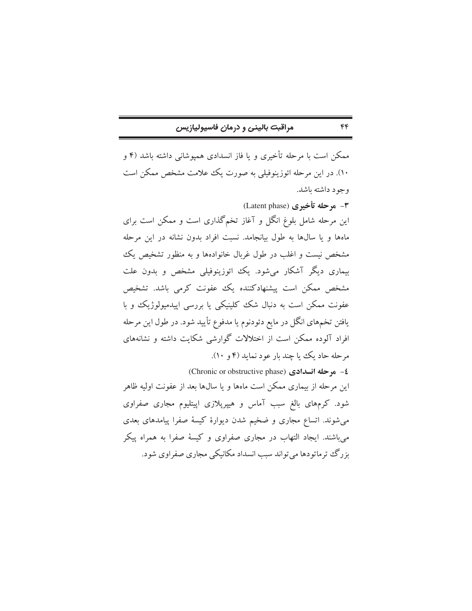### مراقبت بالینی و درمان فاسیولیازیس

ممکن است با مرحله تأخیری و یا فاز انسدادی همپوشانی داشته باشد (۴ و ۱۰). در این مرحله ائوزینوفیلی به صورت یک علامت مشخص ممکن است وجود داشته باشد. ٣- مرحله تأخيري (Latent phase) این مرحله شامل بلوغ انگل و آغاز تخمگذاری است و ممکن است برای ماهها و یا سالها به طول بیانجامد. نسبت افراد بدون نشانه در این مرحله مشخص نیست و اغلب در طول غربال خانوادهها و به منظور تشخیص یک بیماری دیگر آشکار می شود. یک ائوزینوفیلی مشخص و بدون علت مشخص ممکن است پیشنهادکننده یک عفونت کرمی باشد. تشخیص عفونت ممکن است به دنبال شک کلینیکی یا بررسی اییدمیولوژیک و با یافتن تخمهای انگل در مایع دئودنوم یا مدفوع تأیید شود. در طول این مرحله افراد آلوده ممکن است از اختلالات گوارشی شکایت داشته و نشانههای مرحله حاد یک یا چند بار عود نماید (۴ و ۱۰). 2- موحله انسدادی (Chronic or obstructive phase) این مرحله از بیماری ممکن است ماهها و یا سالها بعد از عفونت اولیه ظاهر شود. کرمهای بالغ سبب آماس و هیپرپلازی اپیتلیوم مجاری صفراوی

میشوند. اتساع مجاری و ضخیم شدن دیوارهٔ کیسهٔ صفرا پیامدهای بعدی می باشند. ایجاد التهاب در مجاری صفراوی و کیسهٔ صفرا به همراه پیکر بزرگ ترماتودها می تواند سبب انسداد مکانیکی مجاری صفر اوی شود.

#### $\epsilon$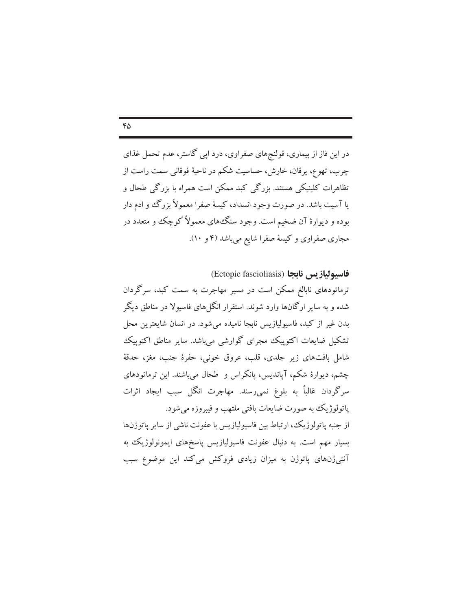$60$ 

در این فاز از بیماری، قولنجهای صفراوی، درد اپی گاستر، عدم تحمل غذای چرب، تهوع، پرقان، خارش، حساسیت شکم در ناحیهٔ فوقانی سمت راست از تظاهرات کلینیکی هستند. بزرگی کبد ممکن است همراه با بزرگی طحال و یا آسیت باشد. در صورت وجود انسداد، کیسهٔ صفرا معمولاً بزرگ وو ادم دار بوده و دیوارهٔ آن ضخیم است. وجود سنگ۵های معمولاً کوچک و متعدد در مجاری صفراوی و کیسهٔ صفرا شایع میباشد (۴ و ۱۰).

فاسبولياز بس نابجا (Ectopic fascioliasis) ترماتودهای نابالغ ممکن است در مسیر مهاجرت به سمت کبد، سرگردان شده و به سایر ارگانها وارد شوند. استقرار انگل های فاسبولا در مناطق دیگر بدن غیر از کبد، فاسیولیازیس نابجا نامیده می شود. در انسان شایعترین محل تشکیل ضایعات اکتوپیک مجرای گوارشی می باشد. سایر مناطق اکتوپیک شامل بافتهای زیر جلدی، قلب، عروق خونی، حفرهٔ جنب، مغز، حدقهٔ چشم، دیوارهٔ شکم، آیاندیس، یانکراس و طحال میباشند. این ترماتودهای سرگردان غالباً به بلوغ نمی رسند. مهاجرت انگل سبب ایجاد اثرات ياتولوژيک به صورت ضايعات بافتى ملتهب و فيبروزه مى شود. از جنبه پاتولوژیک، ارتباط بین فاسیولیازیس با عفونت ناشی از سایر پاتوژنها بسیار مهم است. به دنبال عفونت فاسیولیازیس پاسخهای ایمونولوژیک به آنتی ژنهای پاتوژن به میزان زیادی فروکش میکند این موضوع سبب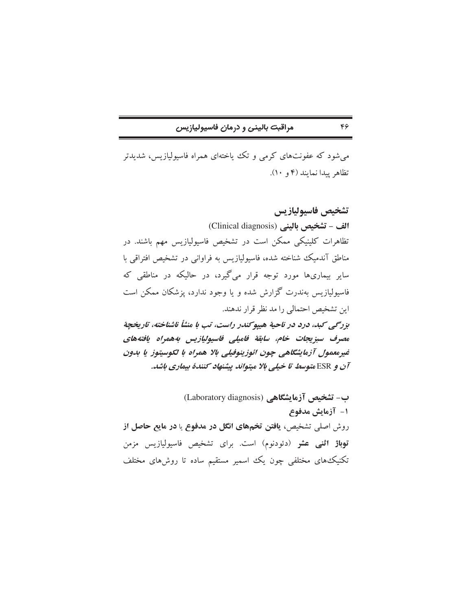مراقبت بالینی و درمان فاسیولیازیس

می شود که عفونتهای کرمی و تک یاختهای همراه فاسپولیازیس، شدیدتر تظاهر ييدا نمايند (۴ و ۱۰).

تشخيص فاسيوليازيس الف - تشخيص باليني (Clinical diagnosis) تظاهرات کلینیکی ممکن است در تشخیص فاسیولیازیس مهم باشند. در مناطق آندمیک شناخته شده، فاسیولیازیس به فراوانی در تشخیص افتراقی با سایر بیماریها مورد توجه قرار میگیرد، در حالیکه در مناطقی که فاسیولیازیس بهندرت گزارش شده و یا وجود ندارد، یزشکان ممکن است این تشخیص احتمالی را مد نظر قرار ندهند. بزرگی کبك، درد در ناحيهٔ هيپوکندر راست، تب با منشأ ناشناخته، تاريخچهٔ مصرف سبزيجات خام، سابقة فاميلي فاسيوليازيس بههمراه يافتههاي غيرمعمول آزمايشگاهي چون ائوزينوفيلي بالا همراه با لكوسيتوز يا بدون آن و ESR متوسط تا خیلی بالا میتواند پیشنهاد کنندهٔ بیماری باشد.

ب- تشخیص آزمایشگاهی (Laboratory diagnosis) 1- آزمایش مدفوع روش اصلی تشخیص، یافتن تخمهای انگل در مدفوع یا در مایع حاصل از <mark>توباژ اثنی عشر</mark> (دئودنوم) است. برای تشخیص فاسیولیازیس مزمن تکنیک های مختلفی چون یک اسمیر مستقیم ساده تا روشهای مختلف

#### $\mathfrak{c}_{\mathfrak{p}}$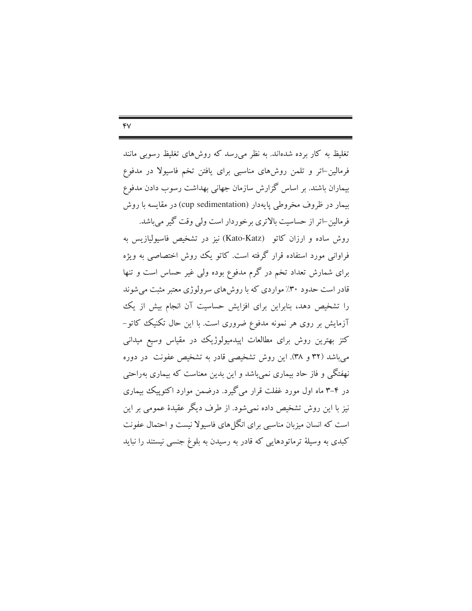$YV$ 

تغلیظ به کار برده شدهاند. به نظر می رسد که روش های تغلیظ رسوبی مانند فرمالین–اتر و تلمن روشهای مناسبی برای یافتن تخم فاسیولا در مدفوع بیماران باشند. بر اساس گزارش سازمان جهانی بهداشت رسوب دادن مدفوع بيمار در ظروف مخروطي يايهدار (cup sedimentation) در مقايسه با روش فرمالین-اتر از حساسیت بالاتری برخوردار است ولی وقت گیر میباشد. روش ساده و ارزان كاتو (Kato-Katz) نيز در تشخيص فاسيوليازيس به فراوانی مورد استفاده قرار گرفته است. کاتو یک روش اختصاصی به ویژه برای شمارش تعداد تخم در گرم مدفوع بوده ولی غیر حساس است و تنها قادر است حدود ۳۰٪ مواردی که با روش های سرولوژی معتبر مثبت می شوند را تشخیص دهد، بنابراین برای افزایش حساسیت آن انجام بیش از یک آزمایش بر روی هر نمونه مدفوع ضروری است. با این حال تکنیک کاتو-کتز بهترین روش برای مطالعات اپیدمیولوژیک در مقیاس وسیع میدانی می باشد (۳۲ و ۳۸). این روش تشخیصی قادر به تشخیص عفونت در دوره نهفتگی و فاز حاد بیماری نمی باشد و این بدین معناست که بیماری بهراحتی در ۴–۳ ماه اول مورد غفلت قرار می گیرد. درضمن موارد اکتوپیک بیماری نیز با این روش تشخیص داده نمی شود. از طرف دیگر عقیدهٔ عمومی بر این است که انسان میزبان مناسبی برای انگل های فاسیولا نیست و احتمال عفونت کبدی به وسیلهٔ ترماتودهایی که قادر به رسیدن به بلوغ جنسی نیستند را نباید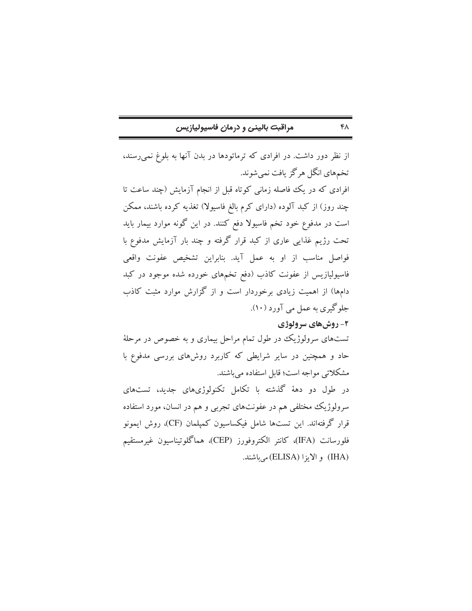|  |  | مراقبت بالینی و درمان فاسیولیازیس |
|--|--|-----------------------------------|
|--|--|-----------------------------------|

از نظر دور داشت. در افرادی که ترماتودها در بدن آنها به بلوغ نمی رسند، تخمهاي انگل هرگز يافت نمي شوند. افرادی که در یک فاصله زمانی کوتاه قبل از انجام آزمایش (چند ساعت تا چند روز) از کبد آلوده (دارای کرم بالغ فاسیولا) تغذیه کرده باشند، ممکن است در مدفوع خود تخم فاسیولا دفع کنند. در این گونه موارد بیمار باید تحت رژیم غذایی عاری از کبد قرار گرفته و چند بار آزمایش مدفوع با فواصل مناسب از او به عمل آید. بنابراین تشخیص عفونت واقعی فاسیولیازیس از عفونت کاذب (دفع تخمهای خورده شده موجود در کبد دامها) از اهمیت زیادی برخوردار است و از گزارش موارد مثبت کاذب جلوگیري به عمل مي آورد (١٠).

# ۲- روشهای سرولوژی

 $FA$ 

تستهای سرولوژیک در طول تمام مراحل بیماری و به خصوص در مرحلهٔ حاد و همچنین در سایر شرایطی که کاربرد روشهای بررسی مدفوع با مشکلاتی مواجه است؛ قابل استفاده می باشند.

در طول دو دههٔ گذشته با تکامل تکنولوژیهای جدید، تستهای سرولوژیک مختلفی هم در عفونتهای تجربی و هم در انسان، مورد استفاده قرار گرفتهاند. این تستها شامل فیکساسیون کمپلمان (CF)، روش ایمونو فلورسانت (IFA)، كانتر الكتروفورز (CEP)، هماگلوتيناسيون غيرمستقيم (IHA) و الايزا (ELISA) مي باشند.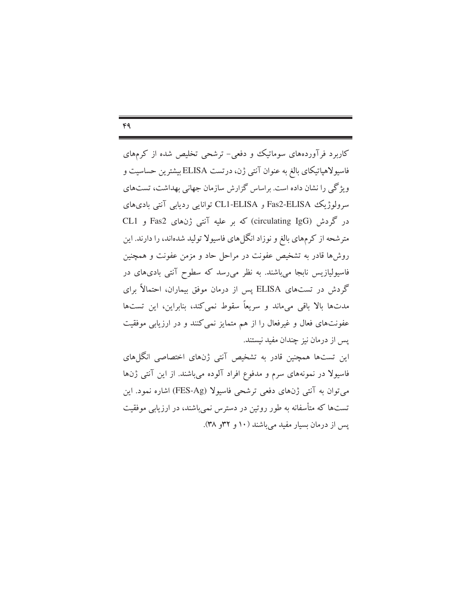$FA$ 

کاربرد فرآوردههای سوماتیک و دفعی- ترشحی تخلیص شده از کرمهای فاسيولاهياتيكاي بالغ به عنوان آنتي ژن، درتست ELISA بيشترين حساسيت و ویژگی را نشان داده است. براساس گزارش سازمان جهانی بهداشت، تستهای سرولوژیک Fas2-ELISA و CL1-ELISA توانایی ردیابی آنتی بادیهای در گردش (circulating IgG) که بر علیه آنتی ژنهای Fas2 و CL1 مترشحه از کرمهای بالغ و نوزاد انگلهای فاسیولا تولید شدهاند، را دارند. این روشها قادر به تشخیص عفونت در مراحل حاد و مزمن عفونت و همچنین فاسیولیازیس نابجا میباشند. به نظر میرسد که سطوح آنتی بادیهای در گردش در تستهای ELISA پس از درمان موفق بیماران، احتمالاً برای مدتها بالا باقی میماند و سریعاً سقوط نمی کند، بنابراین، این تستها عفونتهای فعال و غیرفعال را از هم متمایز نمی کنند و در ارزیابی موفقیت پس از درمان نیز چندان مفید نیستند.

این تستها همچنین قادر به تشخیص آنتی ژنهای اختصاصی انگل های فاسیولا در نمونههای سرم و مدفوع افراد آلوده میباشند. از این آنتی ژنها مي توان به آنتي ژنهاي دفعي ترشحي فاسيولا (FES-Ag) اشاره نمود. اين تستها که متأسفانه به طور روتین در دسترس نمی باشند، در ارزیابی موفقیت پس از درمان بسیار مفید میباشند (۱۰ و ۳۲و ۳۸).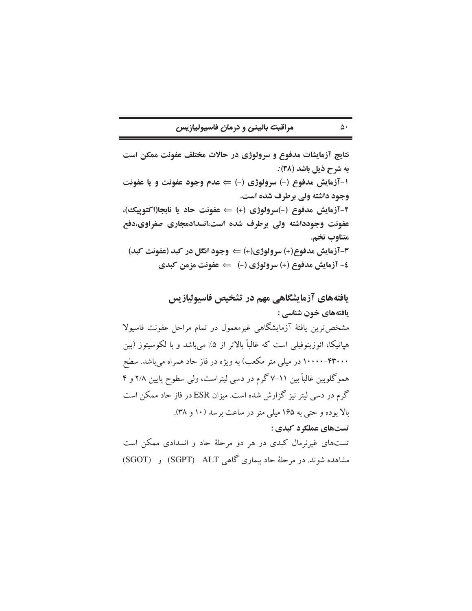### مراقبت بالينى و درمان فاسيوليازيس

نتایج آزمایشات مدفوع و سرولوژی در حالات مختلف عفونت ممکن است به شرح ذیل باشد (۳۸) : ۱-آزمایش مدفوع (-) سرولوژی (-) ⇒ عدم وجود عفونت و یا عفونت وجود داشته ولي برطرف شده است. ٢-آزمايش مدفوع (-)سرولوژي (+) ⇒ عفونت حاد يا نابجا(اكتوپيك)، عفونت وجودداشته ولی برطرف شده است،انسدادمجاری صفراوی،دفع متناوب تخم. ۳-آزمایش مدفوع(+) سرولوژی(+) ⇒ وجود انگل در کبد (عفونت کبد) ٤- آزمايش مدفوع (+) سرولوژي (−) ٪ عفونت مزمن كبدي

یافتههای آزمایشگاهی مهم در تشخیص فاسیولیازیس یافتههای خون شناسی : مشخص ترین یافتهٔ آزمایشگاهی غیرمعمول در تمام مراحل عفونت فاسیولا هپاتیکا، ائوزینوفیلی است که غالباً بالاتر از ۵٪ میباشد و با لکوسیتوز (بین ۴۳۰۰۰-۱۰۰۰۰ در میلی متر مکعب) به ویژه در فاز حاد همراه میباشد. سطح هموگلوبین غالباً بین ۱۱–۷گرم در دسی لیتراست، ولی سطوح پایین ۲/۸ و ۴ گرم در دسی لیتر نیز گزارش شده است. میزان ESR در فاز حاد ممکن است بالا بوده و حتی به ۱۶۵ میلی متر در ساعت برسد (۱۰ و ۳۸). تستهای عملکرد کبدی : تستهای غیرنرمال کبدی در هر دو مرحلهٔ حاد و انسدادی ممکن است مشاهده شوند. در مرحلهٔ حاد سماری گاهی SGPT) ALT) و SGOT)

#### $\Delta \cdot$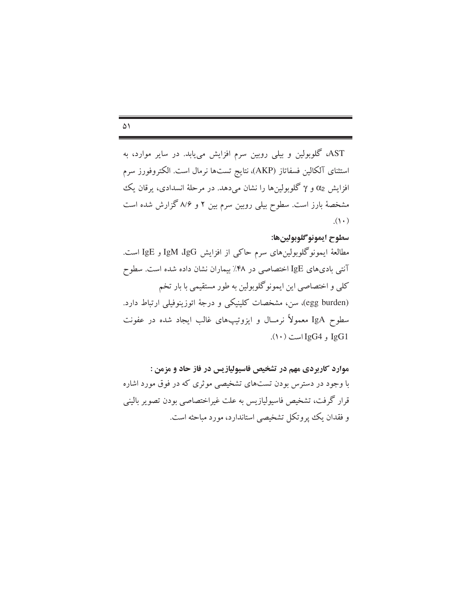$\Delta$ 

AST، گلوبولین و بیلی روبین سرم افزایش می یابد. در سایر موارد، به استثنای آلکالین فسفاتاز (AKP)، نتایج تستها نرمال است. الکتروفورز سرم افزایش α2 و γ گلوبولینها را نشان میدهد. در مرحلهٔ انسدادی، پرقان یک مشخصهٔ بارز است. سطوح بیلی روبین سرم بین ۲ و ۸/۶ گزارش شده است  $\cdot$  (  $\cdot$  )

## سطوح ايمونو گلوبولين ها:

مطالعهٔ ایمونوگلوبولینهای سرم حاکی از افزایش IgM ،IgG و IgE است. آنتی بادیهای IgE اختصاصی در ۴۸٪ بیماران نشان داده شده است. سطوح کلی و اختصاصی این ایمونوگلوبولین به طور مستقیمی با بار تخم (egg burden)، سن، مشخصات کلینیکی و درجهٔ ائوزینوفیلی ارتباط دارد. سطوح IgA معمولاً نرمــال و ایزوتیپهای غالب ایجاد شده در عفونت  $(1 \cdot)$  و IgG4 است  $(1 \cdot)$ .

موارد کاربردی مهم در تشخیص فاسیولیازیس در فاز حاد و مزمن : با وجود در دسترس بودن تستهای تشخیصی موثری که در فوق مورد اشاره قرار گرفت، تشخیص فاسپولیازیس به علت غیراختصاصی بودن تصویر بالینی و فقدان يك يروتكل تشخيصي استاندارد، مورد مباحثه است.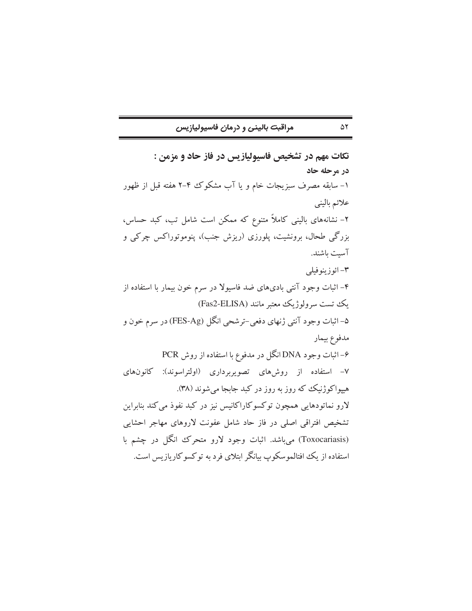مراقبت بالینی و درمان فاسیولیازیس

تکات مهم در تشخیص فاسیولیازیس در فاز حاد و مزمن : در مرحله حاد ۱– سابقه مصرف سبزیجات خام و یا آب مشکوک ۴–۲ هفته قبل از ظهور علائم باليني ۲– نشانههای بالینی کاملاً متنوع که ممکن است شامل تب، کبد حساس، بزرگی طحال، برونشیت، پلورزی (ریزش جنب)، پنوموتوراکس چرکی و آست باشند. ۳- ائو زينو فيلي ۴– اثبات وجود آنتی بادیهای ضد فاسیولا در سرم خون بیمار با استفاده از یک تست سرولوژیک معتبر مانند (Fas2-ELISA) ۵– اثبات وجود آنتي ژنهاي دفعي-ترشحي انگل (FES-Ag) در سرم خون و مدفوع بيمار ۶– اثبات وجود DNA انگل در مدفوع با استفاده از روش PCR ۷– استفاده از روشهای تصویربرداری (اولتراسوند): کانونهای هیپواکوژنیک که روز به روز در کبد جابجا میشوند (۳۸). لارو نماتودهایی همچون توکسوکاراکانیس نیز در کبد نفوذ می کند بنابراین تشخيص افتراقي اصلي در فاز حاد شامل عفونت لاروهاي مهاجر احشايي (Toxocariasis) می باشد. اثبات وجود لارو متحرک انگل در چشم با استفاده از یک افتالموسکوپ پیانگر ایتلای فرد به توکسوکار بازیس است.

۵۲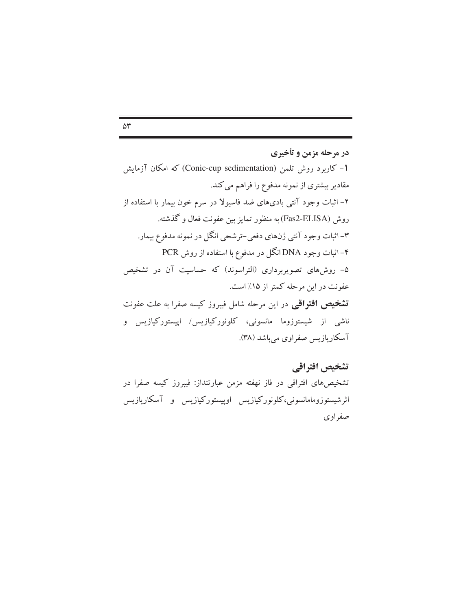$\Delta \mathbf{r}$ 

در مرحله مزمن و تأخیری 1- کاربرد روش تلمن (Conic-cup sedimentation) که امکان آزمایش مقادیر بیشتری از نمونه مدفوع را فراهم می کند. ۲– اثبات وجود آنتی بادیهای ضد فاسیولا در سرم خون بیمار با استفاده از روش (Fas2-ELISA) به منظور تمایز بین عفونت فعال و گذشته. ۳– اثبات وجود آنتي ژنهاي دفعي–ترشحي انگل در نمونه مدفوع بيمار. ۴– اثبات وجود DNA انگل در مدفوع با استفاده از روش PCR ۵– روشهای تصویربرداری (التراسوند) که حساسیت آن در تشخیص عفونت در این مرحله کمتر از ۱۵٪ است. **تشخیص افتواقی** در این مرحله شامل فیبروز کیسه صفرا به علت عفونت ناشی از شیستوزوما مانسونی، کلونورکیازیس/ اپیستورکیازیس و آسکاریازیس صفراوی میباشد (۳۸).

تشخيص افتراقي تشخیصهای افتراقی در فاز نهفته مزمن عبارتنداز: فیبروز کیسه صفرا در اثرشیستوزومامانسونی،کلونورکیازیس اوپیستورکیازیس و آسکاریازیس صفر اوی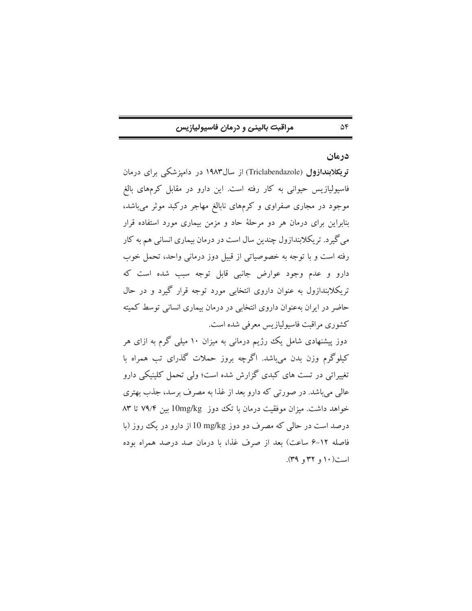### مراقبت بالينى و درمان فاسيوليازيس

### درمان

 $\Delta \mathfrak{S}$ 

توپکلابندازول (Triclabendazole) از سال۱۹۸۳ در دامیزشکی برای درمان فاسیولیازیس حیوانی به کار رفته است. این دارو در مقابل کرمهای بالغ موجود در مجاری صفراوی و کرمهای نابالغ مهاجر درکبد موثر میباشد، بنابراین برای درمان هر دو مرحلهٔ حاد و مزمن بیماری مورد استفاده قرار می گیرد. تریکلابندازول چندین سال است در درمان بیماری انسانی هم به کار رفته است و با توجه به خصوصیاتی از قبیل دوز درمانی واحد، تحمل خوب دارو و عدم وجود عوارض جانبي قابل توجه سبب شده است كه تریکلابندازول به عنوان داروی انتخابی مورد توجه قرار گیرد و در حال حاضر در ایران بهعنوان داروی انتخابی در درمان بیماری انسانی توسط کمیته كشوري مراقبت فاسيوليازيس معرفي شده است.

دوز پیشنهادی شامل یک رژیم درمانی به میزان ۱۰ میلی گرم به ازای هر کیلوگرم وزن بدن می باشد. اگرچه بروز حملات گذرای تب همراه با تغییراتی در تست های کبدی گزارش شده است؛ ولی تحمل کلینیکی دارو عالي مي باشد. در صورتي كه دارو بعد از غذا به مصرف برسد، جذب بهتري خواهد داشت. میزان موفقیت درمان با تک دوز 10mg/kg بین ۷۹/۴ تا ۸۳ درصد است در حالی که مصرف دو دوز l0 mg/kg از دارو در یک روز (با فاصله ١٢-۶ ساعت) بعد از صرف غذا، با درمان صد درصد همراه بوده است(۱۰ و ۳۲ و ۳۹).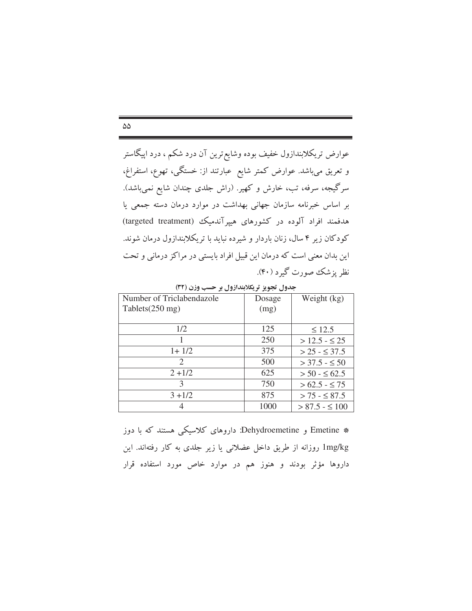عوارض تریکلابندازول خفیف بوده وشایع ترین آن درد شکم ، درد اپیگاستر و تعریق میباشد. عوارض کمتر شایع ً عبارتند از: خستگی، تهوع، استفراغ، سرگیجه، سرفه، تب، خارش و کهیر. (راش جلدی چندان شایع نمیباشد). بر اساس خبرنامه سازمان جهانی بهداشت در موارد درمان دسته جمعی یا هدفمند افراد آلوده در کشورهای هیپرآندمیک (targeted treatment) کودکان زیر ۴ سال، زنان باردار و شیرده نباید با تریکلابندازول درمان شوند. این بدان معنی است که درمان این قبیل افراد بایستی در مراکز درمانی و تحت نظر پزشک صورت گیرد (۴۰).

| جدوں تجویز ترینداروں ہر حسب ورن ( ۱ آب |        |                      |  |
|----------------------------------------|--------|----------------------|--|
| Number of Triclabendazole              | Dosage | Weight (kg)          |  |
| Tablets $(250 \text{ mg})$             | (mg)   |                      |  |
|                                        |        |                      |  |
| 1/2                                    | 125    | $\leq 12.5$          |  |
|                                        | 250    | $>$ 12.5 - $\leq$ 25 |  |
| $1+1/2$                                | 375    | $>$ 25 - $\leq$ 37.5 |  |
| 2                                      | 500    | $>$ 37.5 - $\leq$ 50 |  |
| $2 + 1/2$                              | 625    | $> 50 - 562.5$       |  |
| 3                                      | 750    | $>62.5 - \leq 75$    |  |
| $3 + 1/2$                              | 875    | $> 75 - $87.5$       |  |
|                                        | 1000   | $> 87.5 - \leq 100$  |  |

\* Emetine و Dehydroemetine: داروهای کلاسیکی هستند که با دوز lmg/kg روزانه از طریق داخل عضلانی یا زیر جلدی به کار رفتهاند. این داروها مؤثر بودند و هنوز هم در موارد خاص مورد استفاده قرار

 $\Delta\Delta$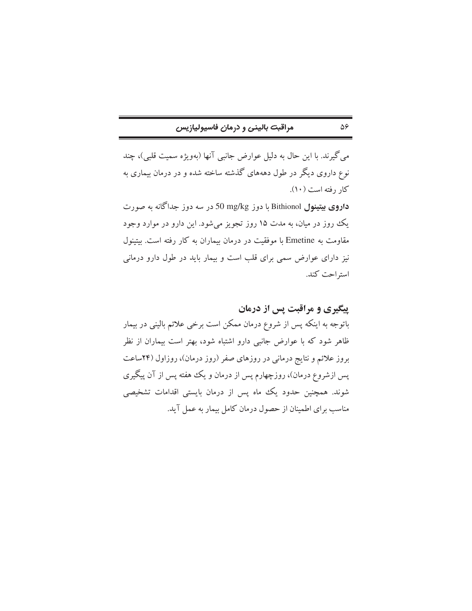## مراقبت بالینی و درمان فاسیولیازیس

مي گيرند. با اين حال به دليل عوارض جانبي آنها (بهويژه سميت قلبي)، چند نوع داروی دیگر در طول دهههای گذشته ساخته شده و در درمان بیماری به کار رفته است (۱۰).

داروی بیتینول Bithionol با دوز 50 mg/kg در سه دوز جداگانه به صورت یک روز در میان، به مدت ۱۵ روز تجویز میشود. این دارو در موارد وجود مقاومت به Emetine با موفقیت در درمان بیماران به کار رفته است. بیتینول نیز دارای عوارض سمی برای قلب است و بیمار باید در طول دارو درمانی استراحت كند.

پیگیری و مراقبت پس از درمان

 $\Delta \hat{z}$ 

باتوجه به اینکه پس از شروع درمان ممکن است برخی علائم بالینی در بیمار ظاهر شود که با عوارض جانبی دارو اشتباه شود، بهتر است بیماران از نظر بروز علائم و نتایج درمانی در روزهای صفر (روز درمان)، روزاول (۲۴ساعت یس ازشروع درمان)، روزچهارم پس از درمان و یک هفته پس از آن پیگیری شوند. همچنین حدود یک ماه پس از درمان بایستی اقدامات تشخیصی مناسب برای اطمینان از حصول درمان کامل بیمار به عمل آید.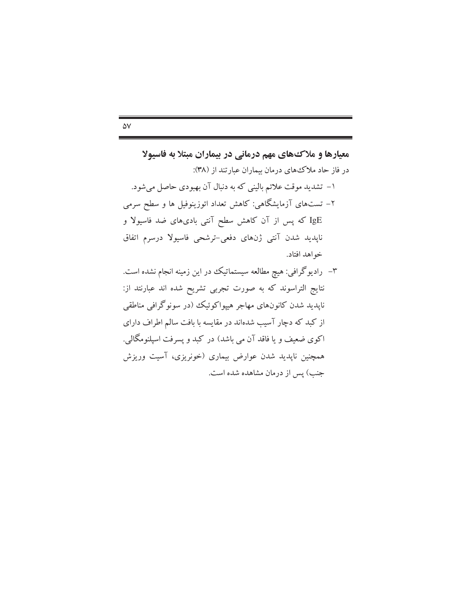# معیارها و ملاک های مهم درمانی در بیماران مبتلا به فاسیولا در فاز حاد ملاك هاي درمان بيماران عبارتند از (٣٨): ۱– تشدید موقت علائم بالینی که به دنبال آن بهبودی حاصل می شود. ۲– تستهای آزمایشگاهی: کاهش تعداد ائوزینوفیل ها و سطح سرمی IgE که پس از آن کاهش سطح آنتی بادیهای ضد فاسیولا و ناپدید شدن آنتی ژنهای دفعی-ترشحی فاسیولا درسرم اتفاق خواهد افتاد.

۳– رادیوگرافی: هیچ مطالعه سیستماتیک در این زمینه انجام نشده است. نتايج التراسوند كه به صورت تجربي تشريح شده اند عبارنتد از: ناپدید شدن کانونهای مهاجر هیپواکوئیک (در سونوگرافی مناطقی از کبد که دچار آسیب شدهاند در مقایسه با بافت سالم اطراف دارای اکوی ضعیف و یا فاقد آن می باشد) در کبد و پسرفت اسپلنومگالی. همچنین ناپدید شدن عوارض بیماری (خونریزی، آسیت وریزش جنب) پس از درمان مشاهده شده است.

#### $\Delta V$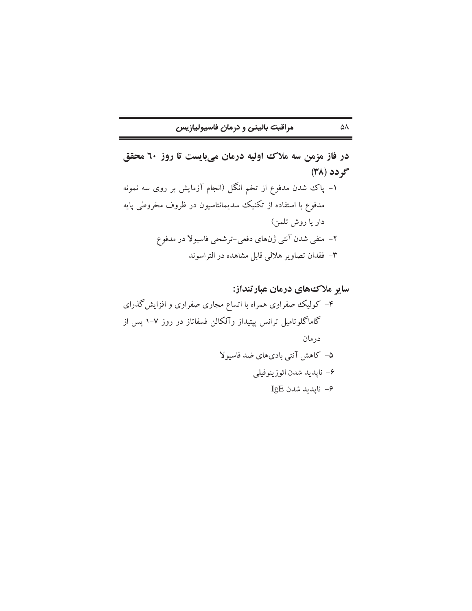| مراقبت بالينى و درمان فاسيوليازيس |  |
|-----------------------------------|--|
|-----------------------------------|--|

 $\Delta\Lambda$ 

در فاز مزمن سه ملاک اولیه درمان میبایست تا روز ٦٠ محقق گر دد (۳۸) ۱– پاک شدن مدفوع از تخم انگل (انجام آزمایش بر روی سه نمونه مدفوع با استفاده از تکنیک سدیمانتاسیون در ظروف مخروطی پایه دار يا روش تلمن) ۲– منفی شدن آنتی ژنهای دفعی–ترشحی فاسیولا در مدفوع ۳- فقدان تصاویر هلالی قابل مشاهده در التراسوند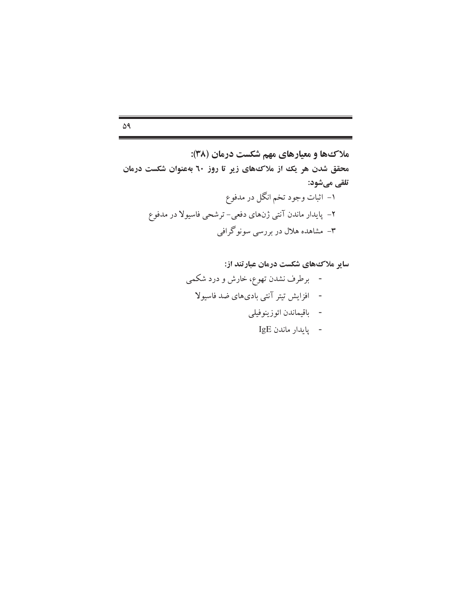$\Delta$ ٩

سایر ملاک های شکست درمان عبارتند از:

i.

۰

$$
IgE \text{ with the }
$$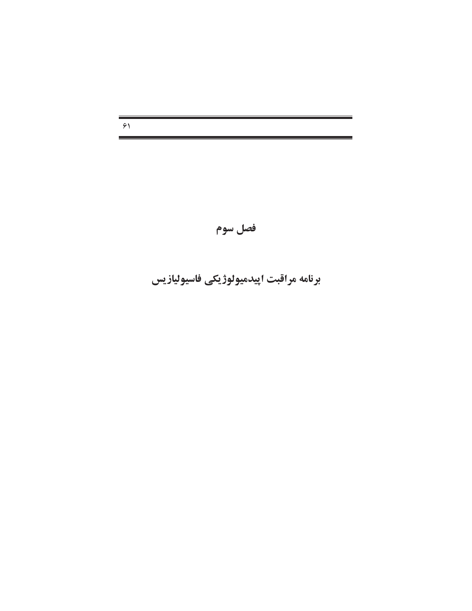$51$ 

# فصل سوم

# برنامه مراقبت اپیدمیولوژیکی فاسیولیازیس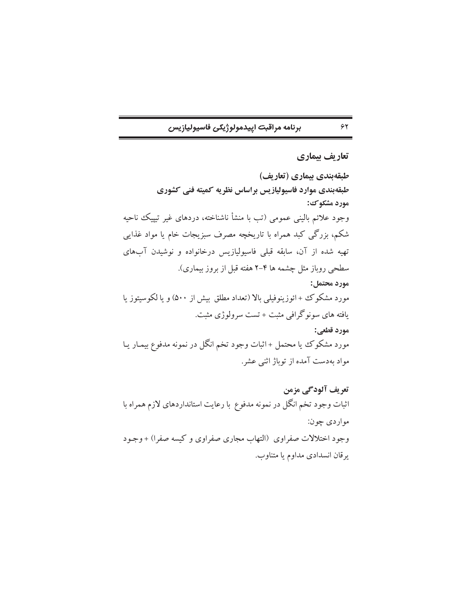برنامه مراقبت اييدمولوژيكي فاسيوليازيس

تعاريف بيماري طبقهبندی بیماری (تعاریف)

 $\gamma$ 

طبقهبندی موارد فاسیولیازیس براساس نظریه کمیته فنی کشوری مورد مشکوک: وجود علائم باليني عمومي (تب با منشأ ناشناخته، دردهاي غير تيپيك ناحيه شکم، بزرگی کبد همراه با تاریخچه مصرف سبزیجات خام یا مواد غذایی تهیه شده از آن، سابقه قبلی فاسیولیازیس درخانواده و نوشیدن آبهای سطحی روباز مثل چشمه ها ۴–۲ هفته قبل از بروز بیماری). مورد محتمل: مورد مشکوک + ائوزینوفیلی بالا (تعداد مطلق بیش از ۵۰۰) و یا لکوسیتوز یا یافته های سونوگرافی مثبت + تست سرولوژی مثبت. مورد قطعي: مورد مشکوک یا محتمل +اثبات وجود تخم انگل در نمونه مدفوع بیمـار یـا مواد بهدست آمده از توباژ اثنی عشر.

تعریف آلودگی مزمن اثبات وجود تخم انگل در نمونه مدفوع با رعایت استانداردهای لازم همراه با مواردي چون: وجود اختلالات صفراوى (التهاب مجارى صفراوى وكيسه صفرا) +وجـود يرقان انسدادي مداوم يا متناوب.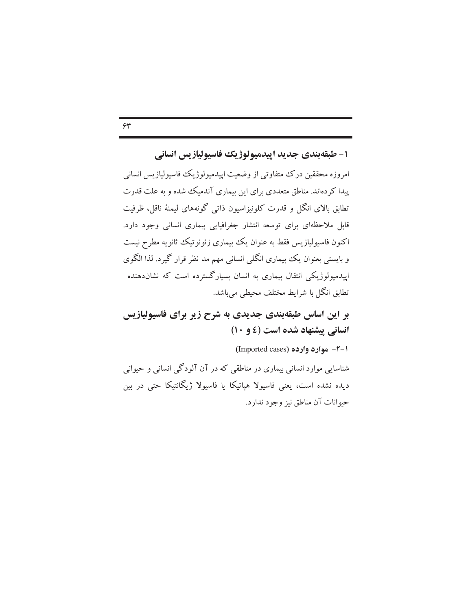١- طبقهبندي جديد اييدميولوژيك فاسيوليازيس انساني امروزه محققین درک متفاوتی از وضعیت ایپدمیولوژیک فاسیولپازیس انسانی پیدا کر دهاند. مناطق متعددی برای این بیماری آندمیک شده و به علت قدرت تطابق بالای انگل و قدرت کلونیزاسیون ذاتی گونههای لیمنهٔ ناقل، ظرفیت قابل ملاحظهای برای توسعه انتشار جغرافیایی بیماری انسانی وجود دارد. اکنون فاسیولپازیس فقط به عنوان یک بیماری زئونوتیک ثانویه مطرح نیست و بایستی بعنوان یک بیماری انگلی انسانی مهم مد نظر قرار گیرد. لذا الگوی

اییدمیولوژیکی انتقال بیماری به انسان بسیارگسترده است که نشاندهنده تطابق انگل با شرایط مختلف محیطی می باشد.

بر این اساس طبقهبندی جدیدی به شرح زیر برای فاسپولیازیس انسانی پیشنهاد شده است (٤ و ١٠)

1-۲- موارد وارده (Imported cases)

شناسایی موارد انسانی بیماری در مناطقی که در آن آلودگی انسانی و حیوانی دیده نشده است، یعنی فاسیولا هپاتیکا یا فاسیولا ژیگانتیکا حتی در بین حيوانات آن مناطق نيز وجود ندارد.

 $54$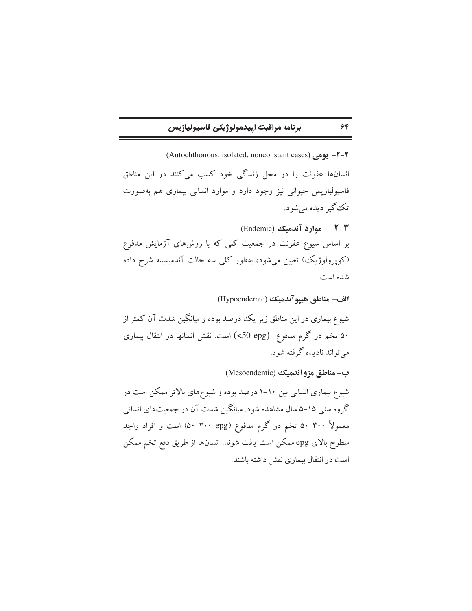# برنامه مراقبت اييدمولوژيكي فاسيوليازيس

 $55$ 

1–٢- بوهي (Autochthonous, isolated, nonconstant cases) انسانها عفونت را در محل زندگی خود کسب می کنند در این مناطق فاسیولیازیس حیوانی نیز وجود دارد و موارد انسانی بیماری هم بهصورت تک گير ديده مي شود. (Endemic) موارد آندمیک (Endemic) بر اساس شیوع عفونت در جمعیت کلی که با روشهای آزمایش مدفوع (کوپرولوژیک) تعیین میشود، بهطور کلی سه حالت آندمیسیته شرح داده شده است.

الف- مناطق هيبوآندميك (Hypoendemic) شیوع بیماری در این مناطق زیر یک درصد بوده و میانگین شدت آن کمتر از ۵۰ تخم در گرم مدفوع (50 cpg) است. نقش انسانها در انتقال بیماری مي تواند ناديده گرفته شود.

ب- مناطق مزوآندميك (Mesoendemic)

شیوع بیماری انسانی بین ۱۰-۱ درصد بوده و شیوعهای بالاتر ممکن است در گروه سنی ۱۵–۵ سال مشاهده شود. میانگین شدت آن در جمعیتهای انسانی معمولاً ۳۰۰–۵۰ تخم در گرم مدفوع (۳۰۰-۵۰) است و افراد واجد سطوح بالاي epg ممكن است يافت شوند. انسانها از طريق دفع تخم ممكن است در انتقال بیماری نقش داشته باشند.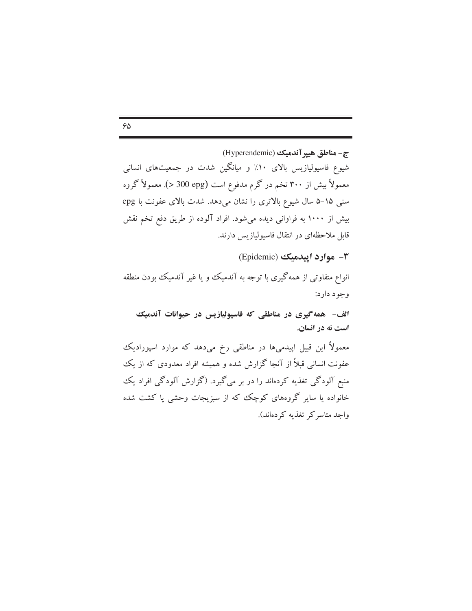$\varphi_{\Delta}$ 

ج-مناطق هيير آندميك (Hyperendemic) شیوع فاسیولیازیس بالای ۱۰٪ و میانگین شدت در جمعیتهای انسانی معمولاً بیش از ۳۰۰ تخم در گرم مدفوع است (apg) 300 <). معمولاً گروه سنی ۱۵-۵ سال شیوع بالاتری را نشان میدهد. شدت بالای عفونت با epg بیش از ۱۰۰۰ به فراوانی دیده میشود. افراد آلوده از طریق دفع تخم نقش قابل ملاحظهای در انتقال فاسیولیازیس دارند.

۳- موارد اپیدمیک (Epidemic)

انواع متفاوتی از همه گیری با توجه به آندمیک و یا غیر آندمیک بودن منطقه وجود دارد:

الف- همه گیری در مناطقی که فاسیولیازیس در حیوانات آندمیک است نه در انسان.

معمولاً این قبیل اپیدمیها در مناطقی رخ میدهد که موارد اسپورادیک عفونت انسانی قبلاً از آنجا گزارش شده و همیشه افراد معدودی که از یک منبع آلودگی تغذیه کردهاند را در بر میگیرد. (گزارش آلودگی افراد یک خانواده یا سایر گروههای کوچک که از سبزیجات وحشی یا کشت شده واجد متاسر کر تغذیه کردهاند).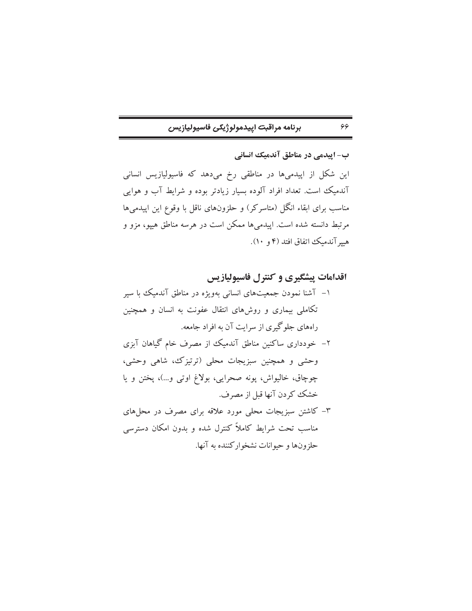| برنامه مراقبت اپيدمولوژيکی فاسيوليازيس |  |
|----------------------------------------|--|
|----------------------------------------|--|

ب- اییدمی در مناطق آندمیک انسانی

 $55$ 

این شکل از اپیدمیها در مناطقی رخ میدهد که فاسیولیازیس انسانی آندمیک است. تعداد افراد آلوده بسیار زیادتر بوده و شرایط آب و هوایی مناسب برای ابقاء انگل (متاسرکر) و حلزونهای ناقل با وقوع این اپیدمیها مرتبط دانسته شده است. اییدمیها ممکن است در هرسه مناطق هیپو، مزو و هيهِ آندميك اتفاق افتد (۴ و ۱۰).

اقدامات پیشگیری و کنترل فاسیولیازیس ۱– آشنا نمودن جمعیتهای انسانی بهویژه در مناطق آندمیک با سیر تکاملی بیماری و روشهای انتقال عفونت به انسان و همچنین راههای جلوگیری از سرایت آن به افراد جامعه. ۲– خودداری ساکنین مناطق آندمیک از مصرف خام گیاهان آبزی وحشی و همچنین سبزیجات محلی (ترتیزک، شاهی وحشی، چوچاق، خاليواش، پونه صحرايي، بولاغ اوتي و...)، پختن و يا خشک کردن آنها قبل از مصرف. ۳– کاشتن سبزیجات محلی مورد علاقه برای مصرف در محل های مناسب تحت شرایط کاملاً کنترل شده و بدون امکان دسترسی حلزونها و حيوانات نشخواركننده به آنها.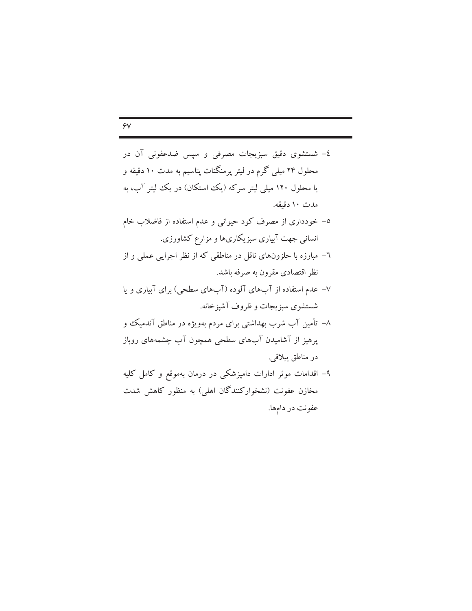| ٤- شستشوی دقیق سبزیجات مصرفی و سپس ضدعفونی آن در                |
|-----------------------------------------------------------------|
| محلول ۲۴ میلی گرم در لیتر پرمنگنات پتاسیم به مدت ۱۰ دقیقه و     |
| یا محلول ۱۲۰ میلی لیتر سرکه (یک استکان) در یک لیتر آب، به       |
| مدت ۱۰ دقیقه.                                                   |
| ٥– خودداری از مصرف کود حیوانی و عدم استفاده از فاضلاب خام       |
| انسانی جهت آبیاری سبزیکاریها و مزارع کشاورزی.                   |
| ٦– مبارزه با حلزونهای ناقل در مناطقی که از نظر اجرایی عملی و از |
| نظر اقتصادی مقرون به صرفه باشد.                                 |
| ۷– عدم استفاده از آبهای آلوده (آبهای سطحی) برای آبیاری و یا     |
| شستشوی سبزیجات و ظروف آشپزخانه.                                 |
| ۸– تأمین آب شرب بهداشتی برای مردم بهویژه در مناطق آندمیک و      |
| پرهیز از آشامیدن آبهای سطحی همچون آب چشمههای روباز              |
| در مناطق ييلاقي.                                                |
| ۹– اقدامات موثر ادارات دامپزشکی در درمان بهموقع و کامل کلیه     |
| مخازن عفونت (نشخوارکنندگان اهلی) به منظور کاهش شدت              |
|                                                                 |

عفونت در دامها.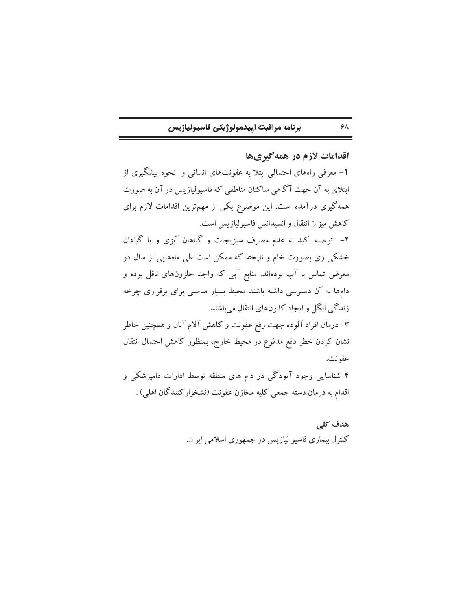$5\lambda$ 

اقدامات لازم در همه گیریها 1– معرفی راههای احتمالی ابتلا به عفونتهای انسانی و نحوه پیشگیری از ابتلای به آن جهت آگاهی ساکنان مناطقی که فاسیولیازیس در آن به صورت همه گیری درآمده است. این موضوع یکی از مهمترین اقدامات لازم برای كاهش ميزان انتقال و انسيدانس فاسيوليازيس است. ۲– توصیه اکید به عدم مصرف سبزیجات و گیاهان آبزی و یا گیاهان خشکی زی بصورت خام و ناپخته که ممکن است طی ماههایی از سال در معرض تماس با آب بودهاند. منابع آبی که واجد حلزونهای ناقل بوده و دامها به آن دسترسی داشته باشند محیط بسیار مناسبی برای برقراری چرخه زندگی انگل و ایجاد کانونهای انتقال میباشند. ۳– درمان افراد آلوده جهت رفع عفونت و کاهش آلام آنان و همچنین خاطر نشان كردن خطر دفع مدفوع در محيط خارج، بمنظور كاهش احتمال انتقال عفونت. ۴-شناسایی وجود آتودگی در دام های منطقه توسط ادارات دامیزشکی و اقدام به درمان دسته جمعی کلیه مخازن عفونت (نشخوارکنندگان اهلی) .

> هدف کلی کنترل بیماری فاسیو لیازیس در جمهوری اسلامی ایران.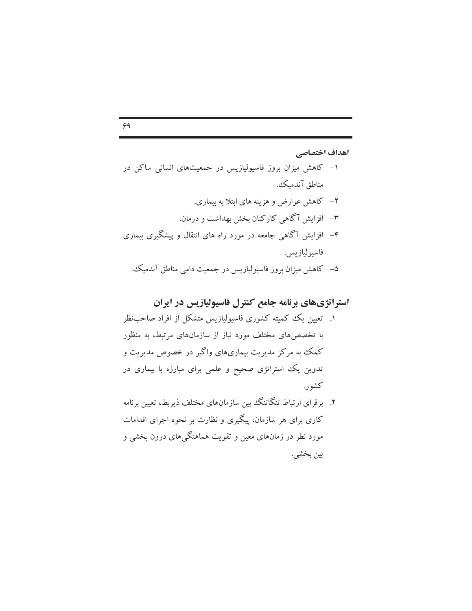# $99$

اهداف اختصاصي ۱- کاهش میزان بروز فاسیولیازیس در جمعیتهای انسانی ساکن در مناطق آندمىك. ۲– کاهش عوارض و هزینه های ابتلا به بیماری. ٣- افزايش آگاهي کارکنان بخش بهداشت و درمان. ۴– افزایش آگاهی جامعه در مورد راه های انتقال و پیشگیری بیماری فاسيو ليازيس. ۵– کاهش میزان بروز فاسیولپازیس در جمعیت دامی مناطق آندمیک.

# استراتژیهای برنامه جامع کنترل فاسیولیازیس در ایران

۱. تعیین یک کمیته کشوری فاسیولیازیس متشکل از افراد صاحبنظر با تخصص های مختلف مورد نیاز از سازمانهای مرتبط، به منظور کمک به مرکز مدیریت بیماریهای واگیر در خصوص مدیریت و تدوین یک استراتژی صحیح و علمی برای مبارزه با بیماری در كشور.

۲. برقرای ارتباط تنگاتنگ بین سازمانهای مختلف ذیربط، تعیین برنامه کاری برای هر سازمان، پیگیری و نظارت بر نحوه اجرای اقدامات مورد نظر در زمانهای معین و تقویت هماهنگم های درون بخشی و بين بخشي.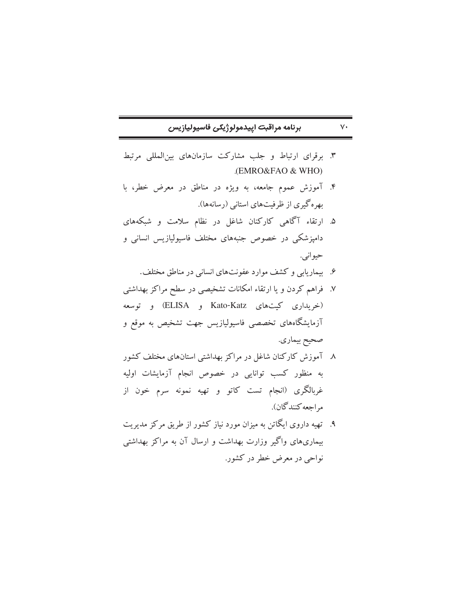# برنامه مراقبت اييدمولوژيكي فاسيوليازيس

 $V^{\star}$ 

- ۳. برقرای ارتباط و جلب مشارکت سازمانهای بین المللی مرتبط (EMRO&FAO & WHO)
- ۴. آموزش عموم جامعه، به ویژه در مناطق در معرض خطر، با بهره گیری از ظرفیتهای استانی (رسانهها).
- ۵. ارتقاء آگاهی کارکنان شاغل در نظام سلامت و شبکههای دامپزشکی در خصوص جنبههای مختلف فاسیولیازیس انسانی و حيواني.
	- ۶. پیماریایی و کشف موارد عفونتهای انسانی در مناطق مختلف.
- ۷. فراهم کردن و یا ارتقاء امکانات تشخیصی در سطح مراکز بهداشتی (خریداری کیتهای Kato-Katz و ELISA) و توسعه آزمایشگاههای تخصصی فاسیولیازیس جهت تشخیص به موقع و صحيح بيماري.
- ۸ آموزش کارکنان شاغل در مراکز بهداشتی استانهای مختلف کشور به منظور کسب توانایی در خصوص انجام آزمایشات اولیه غربالگری (انجام تست کاتو و تهیه نمونه سرم خون از م احعه كنندگان).
- ۹. تهیه داروی ایگاتن به میزان مورد نیاز کشور از طریق مرکز مدیریت بیماریهای واگیر وزارت بهداشت و ارسال آن به مراکز بهداشتی نواحي در معرض خطر در کشور.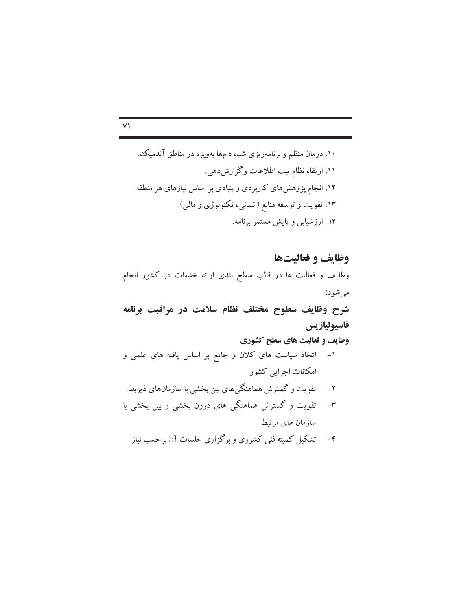$\vee$ 

وظايف و فعاليتها وظایف و فعالیت ها در قالب سطح بندی ارائه خدمات در کشور انجام مي شود: شرح وظایف سطوح مختلف نظام سلامت در مراقبت برنامه فاسيوليازيس وظایف و فعالیت های سطح کشوری ۱– اتخاذ سیاست های کلان و جامع بر اساس یافته های علمی و امكانات اجرايي كشور ۲– تقویت و گسترش هماهنگیهای بین بخشی با سازمانهای ذیربط. ۳– تقویت و گسترش هماهنگی های درون بخشی و بین بخشی با سازمان های مرتبط ۴– تشکیل کمیته فنی کشوری و برگزاری جلسات آن برحسب نیاز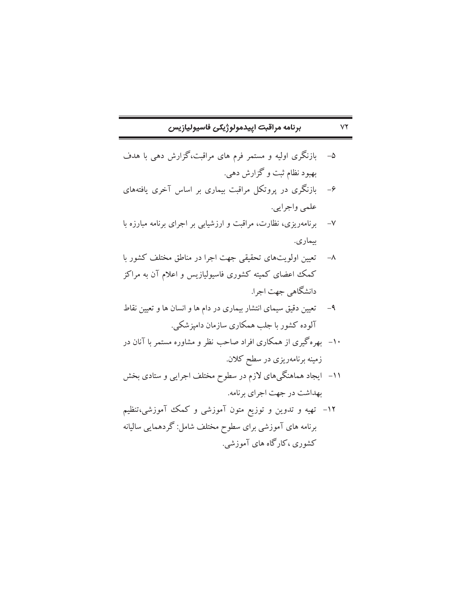$YY$ 

- بازنگری اولیه و مستمر فرم های مراقبت،گزارش دهی با هدف  $-\Delta$ بهبود نظام ثبت و گزارش دهي.
- بازنگری در پروتکل مراقبت بیماری بر اساس آخری یافتههای  $-\epsilon$ علمي واجرايي.
- ۷– برنامهریزی، نظارت، مراقبت و ارزشیابی بر اجرای برنامه مبارزه با بيماري.
- تعیین اولویتهای تحقیقی جهت اجرا در مناطق مختلف کشور با  $-\lambda$ کمک اعضای کمیته کشوری فاسیولیازیس و اعلام آن به مراکز دانشگاهی جهت اجرا.
- ۹– تعیین دقیق سیمای انتشار بیماری در دام ها و انسان ها و تعیین نقاط ۔<br>آلودہ کشور با جلب ہمکاری سازمان دامیز شک<u>ی</u>.
- ۱۰– بهرهگیری از همکاری افراد صاحب نظر و مشاوره مستمر با آنان در زمینه برنامهریزی در سطح کلان.
- ۱۱– ایجاد هماهنگیهای لازم در سطوح مختلف اجرایی و ستادی بخش بهداشت در جهت اجراي برنامه.
- ۱۲– تهیه و تدوین و توزیع متون آموزشی و کمک آموزشی،تنظیم برنامه های آموزشی برای سطوح مختلف شامل: گردهمایی سالیانه کشوری ،کارگاه های آموزشی.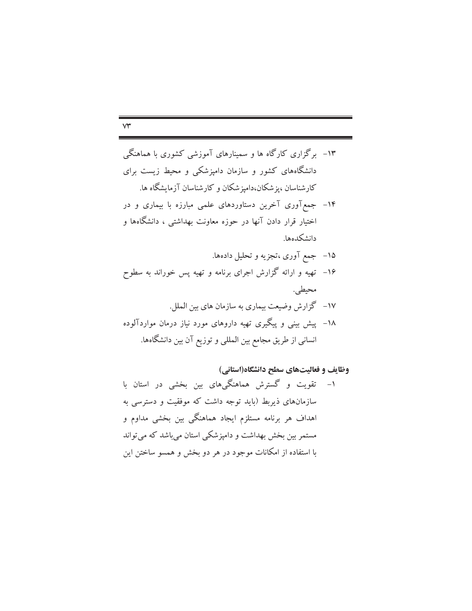- ۱۴– جمع آوری آخرین دستاوردهای علمی مبارزه با بیماری و در اختیار قرار دادن آنها در حوزه معاونت بهداشتی ، دانشگاهها و دانشكدهها.
	- ۱۵– جمع آوری ،تجزیه و تحلیل دادهها.
- ۱۶– تهیه و ارائه گزارش اجرای برنامه و تهیه پس خوراند به سطوح محيطي.
- ١٧- گزارش وضيعت بيماري به سازمان هاي بين الملل. ۱۸– پیش بینی و پیگیری تهیه داروهای مورد نیاز درمان مواردآلوده انسانی از طریق مجامع بین المللی و توزیع آن بین دانشگاهها.

وظایف و فعالیتهای سطح دانشگاه(استانی)

تقویت و گسترش هماهنگیهای بین بخشی در استان با  $-1$ سازمانهای ذیربط (باید توجه داشت که موفقیت و دسترسی به اهداف هر برنامه مستلزم ایجاد هماهنگی بین بخشی مداوم و مستمر بین بخش بهداشت و دامپزشکی استان میباشد که می تواند با استفاده از امکانات موجود در هر دو بخش و همسو ساختن این

#### $\forall \check{r}$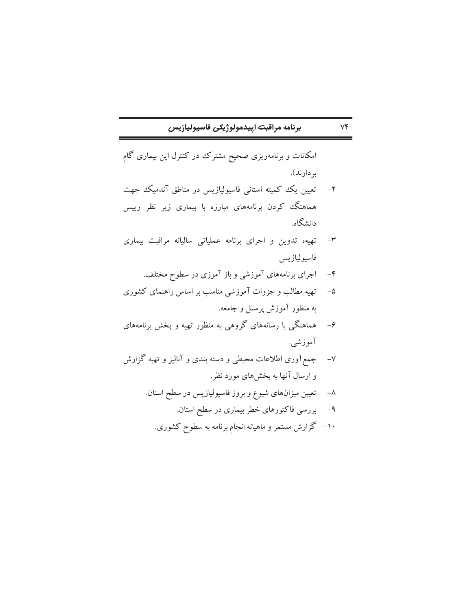| برنامه مراقبت اپيدمولوژيکی فاسيوليازيس |  |  |
|----------------------------------------|--|--|
|----------------------------------------|--|--|

 $V \mathfrak{F}$ 

امکانات و برنامهریزی صحیح مشترک در کنترل این بیماری گام بر دارند). تعیین یک کمیته استانی فاسیولیازیس در مناطق آندمیک جهت  $-1$ هماهنگ کردن برنامههای مبارزه با بیماری زیر نظر رییس دانشگاه.

- ٣- تهيه، تدوين و اجراي برنامه عملياتي ساليانه مراقبت بيماري فاسيوليازيس
	- ۴– اجرای برنامههای آموزشی و باز آموزی در سطوح مختلف.
- ۵– تهیه مطالب و جزوات آموزشی مناسب بر اساس راهنمای کشوری به منظور آموزش پرسنل و جامعه.
- ۶– هماهنگی با رسانههای گروهی به منظور تهیه و پخش برنامههای آموزشي.
- جمع آوری اطلاعات محیطی و دسته بندی و آنالیز و تهیه گزارش  $-V$ و ارسال آنها به بخشهای مورد نظر.
	- تعیین میزانهای شیوع و بروز فاسیولیازیس در سطح استان.  $-\lambda$ 
		- ۹– بررسی فاکتورهای خطر بیماری در سطح استان.
		- ۱۰– گزارش مستمر و ماهیانه انجام برنامه به سطوح کشوری.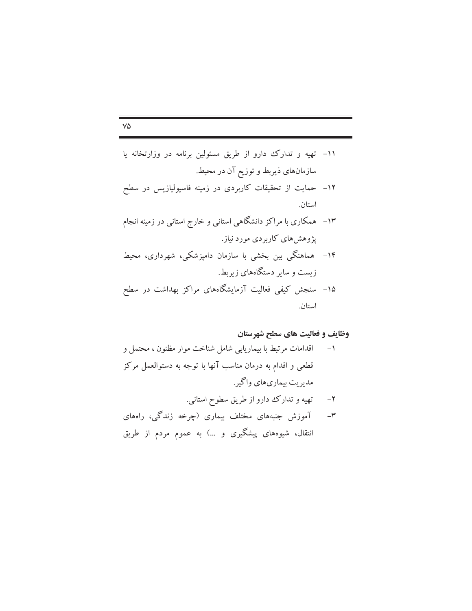$$
f_{\rm{max}}
$$

استان.

## $V\Delta$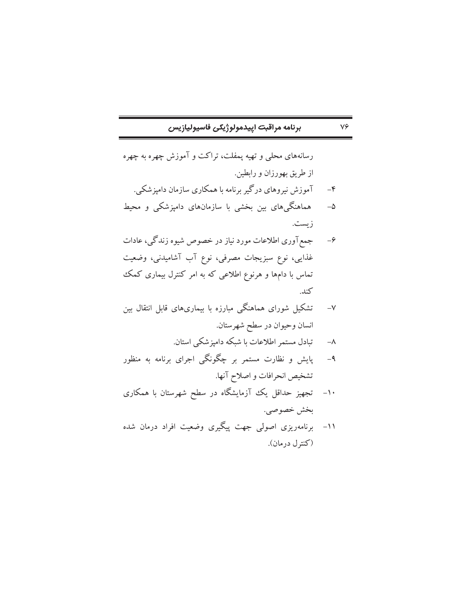## برنامه مراقبت اييدمولوژيكي فاسيوليازيس

 $\mathsf{V}\mathsf{P}$ 

رسانههای محلی و تهیه پمفلت، تراکت و آموزش چهره به چهره از طريق بهورزان و رابطين.

- آموزش نیروهای درگیر برنامه با همکاری سازمان دامپزشکی.  $-\epsilon$
- هماهنگیهای بین بخشی با سازمانهای دامپزشکی و محیط  $-\Delta$ زيست.
- جمع آوری اطلاعات مورد نیاز در خصوص شیوه زندگی، عادات  $-\epsilon$ غذایی، نوع سبزیجات مصرفی، نوع آب آشامیدنی، وضعیت تماس با دامها و هرنوع اطلاعی که به امر کنترل بیماری کمک كند.
- تشکیل شورای هماهنگی مبارزه با بیماریهای قابل انتقال بین  $-\sqrt{}$ انسان وحيوان در سطح شهرستان.
	- تبادل مستمر اطلاعات با شبکه دامیز شکی استان.  $-\lambda$
- پایش و نظارت مستمر بر چگونگی اجرای برنامه به منظور  $-4$ تشخيص انحرافات و اصلاح آنها.
- تجهیز حداقل یک آزمایشگاه در سطح شهرستان با همکاری  $-1$ . بخش خصوصي.
- ۱۱– برنامهریزی اصولی جهت پیگیری وضعیت افراد درمان شده (كنترل درمان).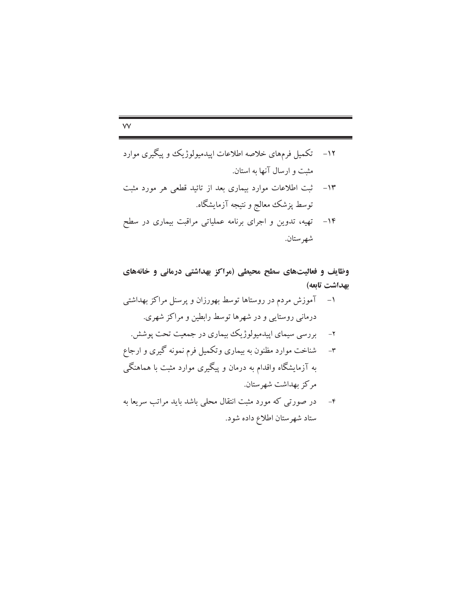۱۴– تهیه، تدوین و اجرای برنامه عملیاتی مراقبت بیماری در سطح شهرستان.

وظایف و فعالیتهای سطح محیطی (مراکز بهداشتی درمانی و خانههای بهداشت تابعه)

- ۱– آموزش مردم در روستاها توسط بهورزان و پرسنل مراکز بهداشتی درمانی روستایی و در شهرها توسط رابطین و مراکز شهری.
	- ۲- بررسی سیمای اپیدمیولوژیک بیماری در جمعیت تحت پوشش.
- شناخت موارد مظنون به بیماری وتکمیل فرم نمونه گیری و ارجاع  $-\mathbf{r}$ به آزمایشگاه واقدام به درمان و پیگیری موارد مثبت با هماهنگی مركز بهداشت شهرستان.
- ۴– در صورتی که مورد مثبت انتقال محلی باشد باید مراتب سریعا به ستاد شهرستان اطلاع داده شود.

#### $\mathsf{VV}$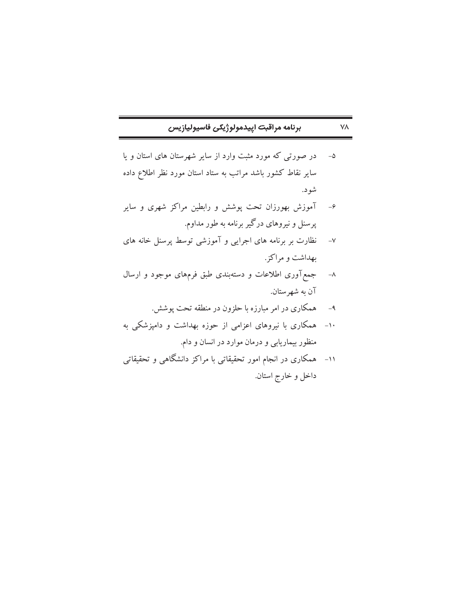| برنامه مراقبت اپيدمولوژيکی فاسيوليازيس |  |
|----------------------------------------|--|
|----------------------------------------|--|

- در صورتی که مورد مثبت وارد از سایر شهرستان های استان و یا  $-\Delta$ سایر نقاط کشور باشد مراتب به ستاد استان مورد نظر اطلاع داده شود.
- آموزش بهورزان تحت پوشش و رابطین مراکز شهری و سایر  $-\epsilon$ پرسنل و نیروهای درگیر برنامه به طور مداوم.
- نظارت بر برنامه های اجرایی و آموزشی توسط پرسنل خانه های  $-V$ بهداشت و مراكز.
- ۸– جمع آوری اطلاعات و دستهبندی طبق فرمهای موجود و ارسال آن به شهرستان.
	- همکاری در امر مبارزه با حلزون در منطقه تحت پوشش.  $-9$
- ۱۰- همکاری با نیروهای اعزامی از حوزه بهداشت و دامپزشکی به منظور بیماریابی و درمان موارد در انسان و دام.
- همکاری در انجام امور تحقیقاتی با مراکز دانشگاهی و تحقیقاتی  $-11$ داخل و خارج استان.

**VA**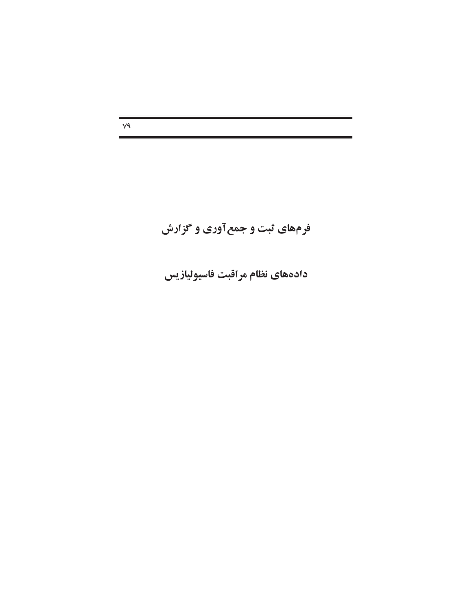$V<sup>q</sup>$ 

# فرمهای ثبت و جمع آوری و گزارش

دادههای نظام مراقبت فاسیولیازیس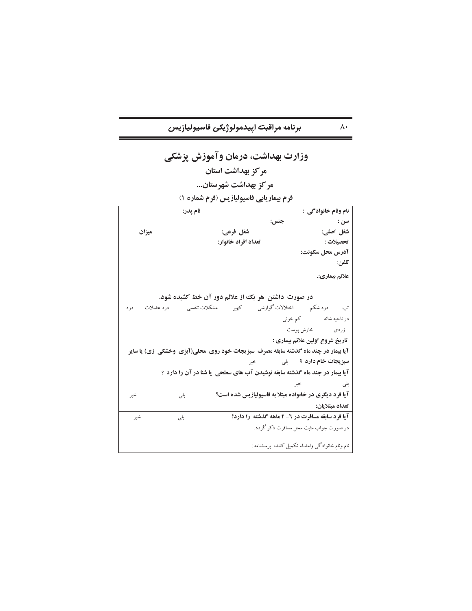$\wedge\cdot$ 

|       | وزارت بهداشت، درمان وآموزش پزشکی                                                                                                                                                                    |                                                        |                                                                                  |
|-------|-----------------------------------------------------------------------------------------------------------------------------------------------------------------------------------------------------|--------------------------------------------------------|----------------------------------------------------------------------------------|
|       | مركز بهداشت استان                                                                                                                                                                                   |                                                        |                                                                                  |
|       | مركز بهداشت شهرستان                                                                                                                                                                                 |                                                        |                                                                                  |
|       | فرم بیماریابی فاسیولیازیس (فرم شماره ۱)                                                                                                                                                             |                                                        |                                                                                  |
|       | نام يدر:                                                                                                                                                                                            |                                                        | نام ونام خانوادگی :                                                              |
|       |                                                                                                                                                                                                     | جنس:                                                   | سن :                                                                             |
| ميزان | شغل فرعي:                                                                                                                                                                                           |                                                        | شغل اصلي:                                                                        |
|       | تعداد افراد خانوار:                                                                                                                                                                                 |                                                        | تحصيلات :                                                                        |
|       |                                                                                                                                                                                                     |                                                        | آدرس محل سکونت:                                                                  |
|       |                                                                                                                                                                                                     |                                                        | تلفن:                                                                            |
|       |                                                                                                                                                                                                     |                                                        | علائم بيماري:.                                                                   |
|       | در صورت داشتن هر یک از علائم دور آن خط کشیده شود.<br>تب دردشکم اختلالات گوارشی کھیر مشکلات تنفسی درد عضلات درد<br>آیا بیمار در چند ماه گذشته سابقه مصرف سبزیجات خود روی محلی(آبزی وخشکی زی) یا سایر |                                                        | در ناحیه شانه مسلم کم خونبی<br>زردی خارش پوست<br>تاريخ شروع اولين علائم بيماري : |
|       |                                                                                                                                                                                                     | <b>سبزیجات خام دارد</b> ؟     بل <sub>ی</sub> خیر      |                                                                                  |
|       | آیا بیمار در چند ماه گذشته سابقه نوشیدن آب های سطحی ِ یا شنا در آن را دارد ؟                                                                                                                        |                                                        |                                                                                  |
|       |                                                                                                                                                                                                     | خير                                                    | بلى                                                                              |
| خير   | بلى                                                                                                                                                                                                 | آیا فرد دیگری در خانواده مبتلا به فاسیولیازیس شده است؟ |                                                                                  |
|       |                                                                                                                                                                                                     |                                                        | تعداد مبتلايان:                                                                  |
| خير   | بلي                                                                                                                                                                                                 | آیا فرد سابقه مسافرت در ٦- ۲ ماهه گذشته را دارد؟       |                                                                                  |
|       |                                                                                                                                                                                                     |                                                        | در صورت جواب مثبت محل مسافرت ذکر گردد.                                           |
|       |                                                                                                                                                                                                     | نام ونام خانوادگی وامضاء تکمیل کننده پرسشنامه :        |                                                                                  |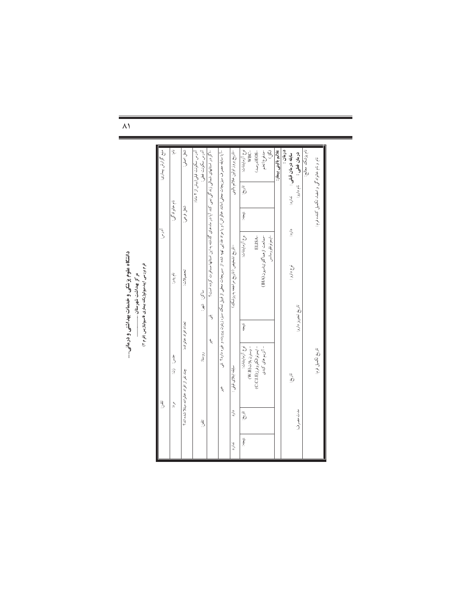|       | ڐ                     |                                                                 |                   |                                                                                                                                     | آورس                  |                                              | منبع گرارش بیماری:               |
|-------|-----------------------|-----------------------------------------------------------------|-------------------|-------------------------------------------------------------------------------------------------------------------------------------|-----------------------|----------------------------------------------|----------------------------------|
|       | $\tilde{\mathcal{C}}$ | خسن: زن:                                                        |                   | نام پدر:                                                                                                                            | نام خانوادگی:         |                                              | ۼ                                |
|       |                       | تعداد افراد خانواده:<br>چند نفر از افراد خانواده مبتلا شده اند؟ |                   | تحصيلات:                                                                                                                            | شغل فوعى:             |                                              | شغل اصلي:                        |
|       | ته:<br>ا              | روستا:                                                          | ساكن: شهر:        |                                                                                                                                     |                       | آدرس سکونت قبلی(بیش از ۲ ماه):               | آدرس سكونت فعلى:                 |
|       |                       | J΄                                                              | ざ                 | –اگر در استانهای شمالی زندگی نمی کند آیا در ماه های گذشته به این استانها مسافرت کرده است؟                                           |                       |                                              |                                  |
|       |                       | Ĵ,                                                              |                   | –آیا بسابقه مصرف سبزیجات محلی(مانند خالواش) و یا مواد غذاین تهیه شده از مسبریجات محلی از قبیل نمک سبز،زیتون پرورده و غیره دارد؟ بلی |                       |                                              |                                  |
| ندارد | دارد                  | سابقه ابتلای قبلی :                                             |                   | –تاریخ تشخیص (تاریخ مراجعه به پزشک)                                                                                                 |                       |                                              | –تاريخ بروز اولين علائم بالبنير  |
| j.    | تأريخ.                | نوع آزمايشات:<br>-وسترن بلات(B)                                 | J.                | نوع آزمايشات:                                                                                                                       | $\int\limits_{0}^{1}$ | تاريخ                                        | نوع آزمايشات:<br>WBC-            |
|       |                       | –ايمونوالكتروفرز(C.C.LE)                                        |                   | ELISA-                                                                                                                              |                       |                                              | -BOS(درصد)                       |
|       |                       | – آنزیم های کبدی                                                |                   | – يمونو فلور سانس<br>-ممانعت ازهماگلوتيناسيون(IHA)                                                                                  |                       |                                              | $\bar{\mathbb{Z}}$<br>–مدفوع(تخم |
|       |                       |                                                                 |                   |                                                                                                                                     |                       |                                              | علائم باليني بيمار:              |
|       |                       |                                                                 |                   |                                                                                                                                     |                       |                                              | درمان :                          |
|       |                       | تاريخ                                                           |                   | نوع دارو :                                                                                                                          | دارد:                 | سابقه درمان قبلی : تدارد:                    |                                  |
|       | مادت مصر ف:           |                                                                 | تاريخ تجويز دارو: |                                                                                                                                     |                       | نام دارو:                                    | درمان فعلی :                     |
|       |                       |                                                                 |                   |                                                                                                                                     |                       |                                              | نام پزشک معالج:                  |
|       |                       | تاريخ تكميل فرم:                                                |                   |                                                                                                                                     |                       | نام و نام خانوادگی و امضاء تکمیل کننده فرم : |                                  |

 $\lambda$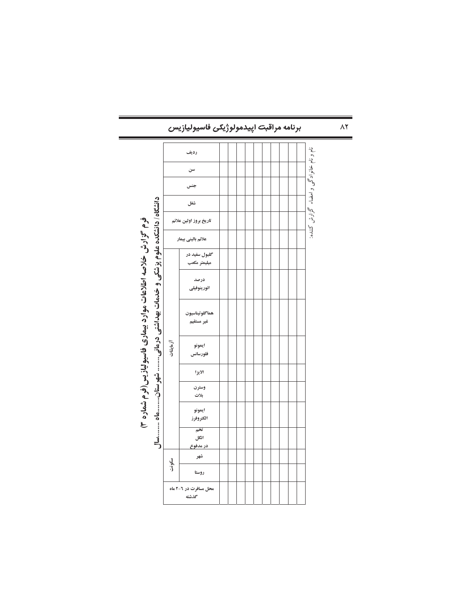| برنامه مراقبت اپيدمولوژيکی فاسيوليازيس                                                                                      |                        |                                |  |  |  |  |  |  |  | $\wedge$ ٢ |                                         |  |
|-----------------------------------------------------------------------------------------------------------------------------|------------------------|--------------------------------|--|--|--|--|--|--|--|------------|-----------------------------------------|--|
|                                                                                                                             |                        | رديف                           |  |  |  |  |  |  |  |            |                                         |  |
|                                                                                                                             |                        | سن                             |  |  |  |  |  |  |  |            |                                         |  |
|                                                                                                                             |                        |                                |  |  |  |  |  |  |  |            |                                         |  |
|                                                                                                                             | شغل                    |                                |  |  |  |  |  |  |  |            |                                         |  |
|                                                                                                                             | تاريخ بروز اولين علائم |                                |  |  |  |  |  |  |  |            | نام و نام خانوادگی و امضاء گزارش کننده: |  |
|                                                                                                                             |                        | علائم باليني بيمار             |  |  |  |  |  |  |  |            |                                         |  |
|                                                                                                                             |                        | گلبول سفید در<br>ميليمتر مكعب  |  |  |  |  |  |  |  |            |                                         |  |
|                                                                                                                             |                        | درصد<br>ائورينوفيلى            |  |  |  |  |  |  |  |            |                                         |  |
| دانشگاه/ دانشنده علوم پزشکی و خدمات بهداشتی درمانی شهرستان<br>فرم گزارش خلاصه اطلاعات موارد بیماری فاسیولیازیس(فرم شماره ۳) |                        | هماگلو تيناسيون<br>غير مستقيم  |  |  |  |  |  |  |  |            |                                         |  |
|                                                                                                                             | آزمایشات               | ايمونو<br>فلورسانس             |  |  |  |  |  |  |  |            |                                         |  |
|                                                                                                                             |                        | الايزا                         |  |  |  |  |  |  |  |            |                                         |  |
|                                                                                                                             |                        | وسترن<br>بلات                  |  |  |  |  |  |  |  |            |                                         |  |
|                                                                                                                             |                        | ايمونو<br>الكتروفرز            |  |  |  |  |  |  |  |            |                                         |  |
|                                                                                                                             |                        | تخم<br>انگل<br>در مدفوع        |  |  |  |  |  |  |  |            |                                         |  |
|                                                                                                                             | سكونت                  | شهر                            |  |  |  |  |  |  |  |            |                                         |  |
|                                                                                                                             |                        | روستا                          |  |  |  |  |  |  |  |            |                                         |  |
|                                                                                                                             |                        | محل مسافرت در ۲-۲ ماه<br>كذشته |  |  |  |  |  |  |  |            |                                         |  |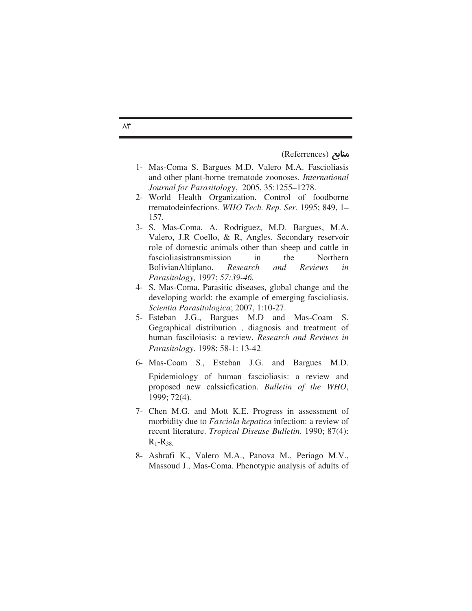منابع (Referrences)

- 1- Mas-Coma S. Bargues M.D. Valero M.A. Fascioliasis and other plant-borne trematode zoonoses. *International Journal for Parasitolog*y, 2005, 35:1255–1278.
- 2- World Health Organization. Control of foodborne trematodeinfections. *WHO Tech. Rep. Ser.* 1995; 849, 1– 157.
- 3- S. Mas-Coma, A. Rodriguez, M.D. Bargues, M.A. Valero, J.R Coello, & R, Angles. Secondary reservoir role of domestic animals other than sheep and cattle in fascioliasistransmission in the Northern BolivianAltiplano. *Research and Reviews in Parasitology,* 1997; *57:39-46.*
- 4- S. Mas-Coma. Parasitic diseases, global change and the developing world: the example of emerging fascioliasis. *Scientia Parasitologica*; 2007, 1:10-27.
- 5- Esteban J.G., Bargues M.D and Mas-Coam S. Gegraphical distribution , diagnosis and treatment of human fasciloiasis: a review, *Research and Reviwes in Parasitology.* 1998; 58-1: 13-42.
- 6- Mas-Coam Si, Esteban J.G. and Bargues M.D. Epidemiology of human fascioliasis: a review and proposed new calssicfication. *Bulletin of the WHO*, 1999; 72(4).
- 7- Chen M.G. and Mott K.E. Progress in assessment of morbidity due to *Fasciola hepatica* infection: a review of recent literature. *Tropical Disease Bulletin*. 1990; 87(4):  $R_1 - R_{38}$
- 8- Ashrafi K., Valero M.A., Panova M., Periago M.V., Massoud J., Mas-Coma. Phenotypic analysis of adults of

 $\wedge$   $\qquad$   $\qquad$   $\qquad$   $\qquad$   $\qquad$   $\qquad$   $\qquad$   $\qquad$   $\qquad$   $\qquad$   $\qquad$   $\qquad$   $\qquad$   $\qquad$   $\qquad$   $\qquad$   $\qquad$   $\qquad$   $\qquad$   $\qquad$   $\qquad$   $\qquad$   $\qquad$   $\qquad$   $\qquad$   $\qquad$   $\qquad$   $\qquad$   $\qquad$   $\qquad$   $\qquad$   $\qquad$   $\qquad$   $\qquad$   $\qquad$   $\qquad$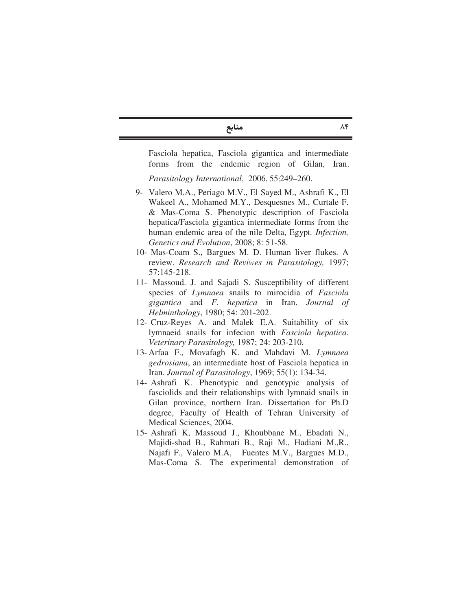منابع<br>۸۴ منابع

Fasciola hepatica, Fasciola gigantica and intermediate forms from the endemic region of Gilan, Iran.

*Parasitology International, 2006, 55:249-260.* 

- 9- Valero M.A., Periago M.V., El Sayed M., Ashrafi K., El Wakeel A., Mohamed M.Y., Desquesnes M., Curtale F. & Mas-Coma S. Phenotypic description of Fasciola hepatica/Fasciola gigantica intermediate forms from the human endemic area of the nile Delta, Egypt*. Infection, Genetics and Evolution*, 2008; 8: 51-58.
- 10- Mas-Coam S., Bargues M. D. Human liver flukes. A review. *Research and Reviwes in Parasitology,* 1997; 57:145-218.
- 11- Massoud. J. and Sajadi S. Susceptibility of different species of *Lymnaea* snails to mirocidia of *Fasciola gigantica* and *F. hepatica* in Iran. *Journal of Helminthology*, 1980; 54: 201-202.
- 12- Cruz-Reyes A. and Malek E.A. Suitability of six lymnaeid snails for infecion with *Fasciola hepatica*. *Veterinary Parasitology,* 1987; 24: 203-210.
- 13- Arfaa F., Movafagh K. and Mahdavi M. *Lymnaea gedrosiana*, an intermediate host of Fasciola hepatica in Iran. *Journal of Parasitology*, 1969; 55(1): 134-34.
- 14- Ashrafi K. Phenotypic and genotypic analysis of fasciolids and their relationships with lymnaid snails in Gilan province, northern Iran. Dissertation for Ph.D degree, Faculty of Health of Tehran University of Medical Sciences, 2004.
- 15- Ashrafi K, Massoud J., Khoubbane M., Ebadati N., Majidi-shad B., Rahmati B., Raji M., Hadiani M.,R., Najafi F., Valero M.A, Fuentes M.V., Bargues M.D., Mas-Coma S. The experimental demonstration of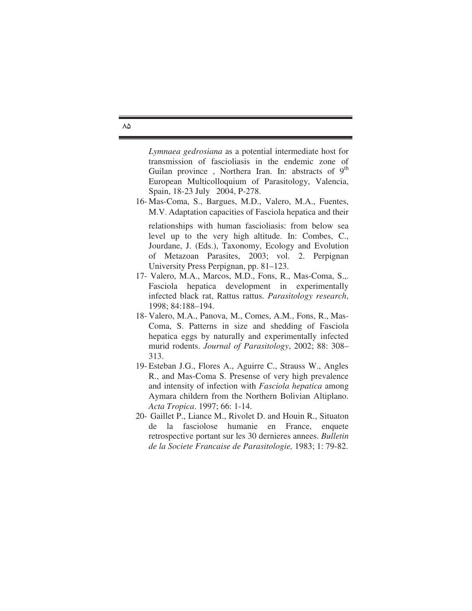*Lymnaea gedrosiana* as a potential intermediate host for transmission of fascioliasis in the endemic zone of Guilan province, Northera Iran. In: abstracts of  $9<sup>th</sup>$ European Multicolloquium of Parasitology, Valencia, Spain, 18-23 July 2004, P-278.

- 16- Mas-Coma, S., Bargues, M.D., Valero, M.A., Fuentes, M.V. Adaptation capacities of Fasciola hepatica and their relationships with human fascioliasis: from below sea level up to the very high altitude. In: Combes, C., Jourdane, J. (Eds.), Taxonomy, Ecology and Evolution of Metazoan Parasites, 2003; vol. 2. Perpignan University Press Perpignan, pp. 81–123.
- 17- Valero, M.A., Marcos, M.D., Fons, R., Mas-Coma, S.,. Fasciola hepatica development in experimentally infected black rat, Rattus rattus. *Parasitology research*, 1998; 84:188–194.
- 18- Valero, M.A., Panova, M., Comes, A.M., Fons, R., Mas-Coma, S. Patterns in size and shedding of Fasciola hepatica eggs by naturally and experimentally infected murid rodents. *Journal of Parasitology*, 2002; 88: 308– 313.
- 19- Esteban J.G., Flores A., Aguirre C., Strauss W., Angles R., and Mas-Coma S. Presense of very high prevalence and intensity of infection with *Fasciola hepatica* among Aymara childern from the Northern Bolivian Altiplano. *Acta Tropica*. 1997; 66: 1-14.
- 20- Gaillet P., Liance M., Rivolet D. and Houin R., Situaton de la fasciolose humanie en France, enquete retrospective portant sur les 30 dernieres annees. *Bulletin de la Societe Francaise de Parasitologie,* 1983; 1: 79-82.

 $\lambda \Delta$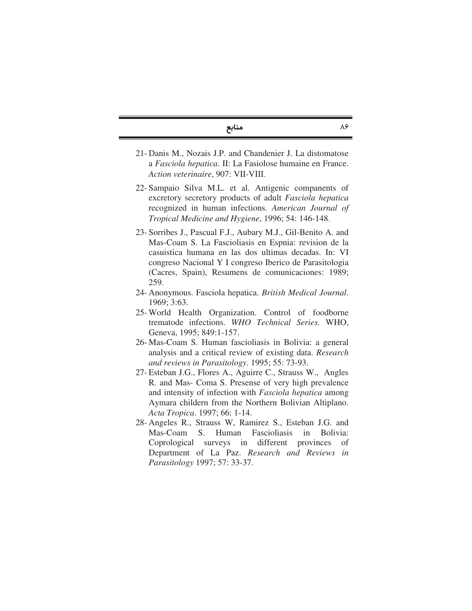منابع  $\lambda \beta$ 

- 21- Danis M., Nozais J.P. and Chandenier J. La distomatose a *Fasciola hepatica*. II: La Fasiolose humaine en France. *Action veterinaire*, 907: VII-VIII.
- 22- Sampaio Silva M.L. et al. Antigenic companents of excretory secretory products of adult *Fasciola hepatica* recognized in human infections. *American Journal of Tropical Medicine and Hygiene*, 1996; 54: 146-148.
- 23- Sorribes J., Pascual F.J., Aubary M.J., Gil-Benito A. and Mas-Coam S. La Fascioliasis en Espnia: revision de la casuistica humana en las dos ultimas decadas. In: VI congreso Nacional Y I congreso Iberico de Parasitologia (Cacres, Spain), Resumens de comunicaciones: 1989; 259.
- 24- Anonymous. Fasciola hepatica. *British Medical Journal*. 1969; 3:63.
- 25- World Health Organization. Control of foodborne trematode infections. *WHO Technical Series.* WHO, Geneva, 1995; 849:1-157.
- 26- Mas-Coam S. Human fascioliasis in Bolivia: a general analysis and a critical review of existing data. *Research and reviews in Parasitology*. 1995; 55: 73-93.
- 27- Esteban J.G., Flores A., Aguirre C., Strauss W., Angles R. and Mas- Coma S. Presense of very high prevalence and intensity of infection with *Fasciola hepatica* among Aymara childern from the Northern Bolivian Altiplano. *Acta Tropica*. 1997; 66: 1-14.
- 28- Angeles R., Strauss W, Ramirez S., Esteban J.G. and Mas-Coam S. Human Fascioliasis in Bolivia: Coprological surveys in different provinces of Department of La Paz. *Research and Reviews in Parasitology* 1997; 57: 33-37.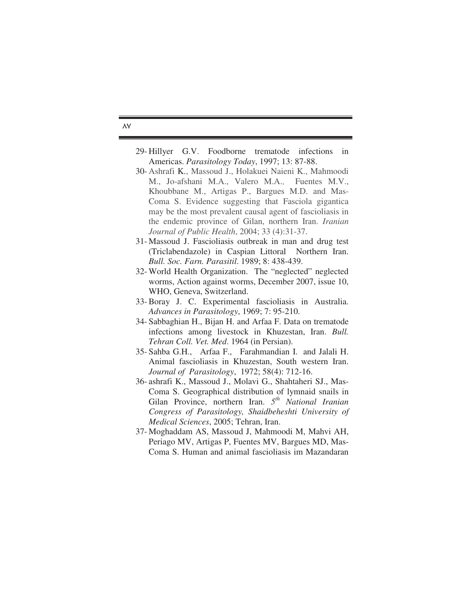- 29- Hillyer G.V. Foodborne trematode infections in Americas. *Parasitology Today*, 1997; 13: 87-88.
- 30- Ashrafi K., Massoud J., Holakuei Naieni K., Mahmoodi M., Jo-afshani M.A., Valero M.A., Fuentes M.V., Khoubbane M., Artigas P., Bargues M.D. and Mas-Coma S. Evidence suggesting that Fasciola gigantica may be the most prevalent causal agent of fascioliasis in the endemic province of Gilan, northern Iran. *Iranian Journal of Public Health*, 2004; 33 (4):31-37.
- 31- Massoud J. Fascioliasis outbreak in man and drug test (Triclabendazole) in Caspian Littoral Northern Iran. *Bull. Soc. Farn. Parasitil*. 1989; 8: 438-439.
- 32- World Health Organization. The "neglected" neglected worms, Action against worms, December 2007, issue 10, WHO, Geneva, Switzerland.
- 33-Boray J. C. Experimental fascioliasis in Australia. *Advances in Parasitology*, 1969; 7: 95-210.
- 34- Sabbaghian H., Bijan H. and Arfaa F. Data on trematode infections among livestock in Khuzestan, Iran. *Bull. Tehran Coll. Vet. Med*. 1964 (in Persian).
- 35- Sahba G.H., Arfaa F., Farahmandian I. and Jalali H. Animal fascioliasis in Khuzestan, South western Iran. *Journal of Parasitology*, 1972; 58(4): 712-16.
- 36- ashrafi K., Massoud J., Molavi G., Shahtaheri SJ., Mas-Coma S. Geographical distribution of lymnaid snails in Gilan Province, northern Iran. *5 th National Iranian Congress of Parasitology, Shaidbeheshti University of Medical Sciences*, 2005; Tehran, Iran.
- 37- Moghaddam AS, Massoud J, Mahmoodi M, Mahvi AH, Periago MV, Artigas P, Fuentes MV, Bargues MD, Mas-Coma S. Human and animal fascioliasis im Mazandaran

## $\Delta V$